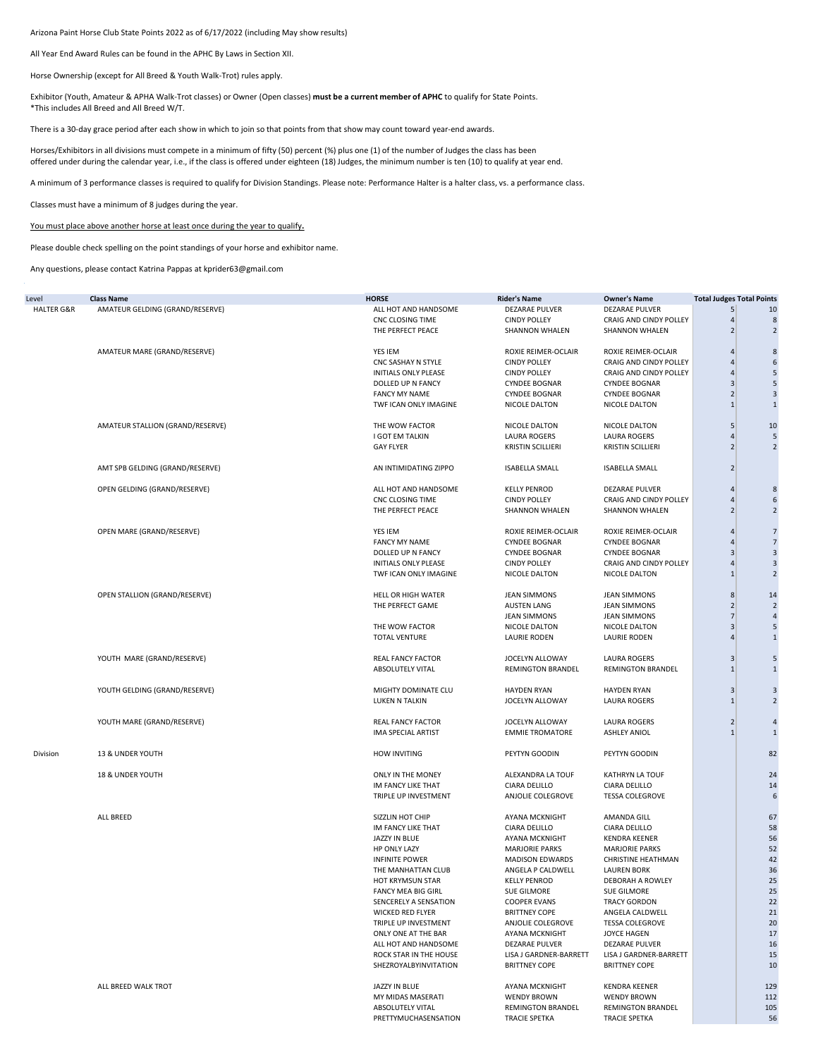| Level                 | <b>Class Name</b>                | <b>HORSE</b>              | <b>Rider's Name</b>           | <b>Owner's Name</b>           | <b>Total Judges Total Points</b> |                                            |
|-----------------------|----------------------------------|---------------------------|-------------------------------|-------------------------------|----------------------------------|--------------------------------------------|
| <b>HALTER G&amp;R</b> | AMATEUR GELDING (GRAND/RESERVE)  | ALL HOT AND HANDSOME      | <b>DEZARAE PULVER</b>         | DEZARAE PULVER                |                                  | 10                                         |
|                       |                                  | CNC CLOSING TIME          | <b>CINDY POLLEY</b>           | CRAIG AND CINDY POLLEY        |                                  | 8                                          |
|                       |                                  | THE PERFECT PEACE         | <b>SHANNON WHALEN</b>         | <b>SHANNON WHALEN</b>         |                                  | $2 \overline{ }$                           |
|                       |                                  |                           |                               |                               |                                  |                                            |
|                       | AMATEUR MARE (GRAND/RESERVE)     | YES IEM                   | ROXIE REIMER-OCLAIR           | ROXIE REIMER-OCLAIR           |                                  | $8\phantom{1}$                             |
|                       |                                  | <b>CNC SASHAY N STYLE</b> | <b>CINDY POLLEY</b>           | CRAIG AND CINDY POLLEY        |                                  | $\boldsymbol{6}$                           |
|                       |                                  |                           | <b>CINDY POLLEY</b>           |                               |                                  |                                            |
|                       |                                  | INITIALS ONLY PLEASE      |                               | CRAIG AND CINDY POLLEY        |                                  |                                            |
|                       |                                  | DOLLED UP N FANCY         | <b>CYNDEE BOGNAR</b>          | <b>CYNDEE BOGNAR</b>          |                                  | $\begin{array}{c} 5 \\ 5 \\ 3 \end{array}$ |
|                       |                                  | <b>FANCY MY NAME</b>      | <b>CYNDEE BOGNAR</b>          | <b>CYNDEE BOGNAR</b>          |                                  |                                            |
|                       |                                  | TWF ICAN ONLY IMAGINE     | NICOLE DALTON                 | NICOLE DALTON                 |                                  | $\mathbf{1}$                               |
|                       | AMATEUR STALLION (GRAND/RESERVE) | THE WOW FACTOR            | NICOLE DALTON                 | NICOLE DALTON                 | 5                                | 10                                         |
|                       |                                  | <b>I GOT EM TALKIN</b>    | <b>LAURA ROGERS</b>           | <b>LAURA ROGERS</b>           |                                  | 5                                          |
|                       |                                  | <b>GAY FLYER</b>          | <b>KRISTIN SCILLIERI</b>      | <b>KRISTIN SCILLIERI</b>      |                                  | $2 \overline{ }$                           |
|                       |                                  |                           |                               |                               |                                  |                                            |
|                       | AMT SPB GELDING (GRAND/RESERVE)  | AN INTIMIDATING ZIPPO     | <b>ISABELLA SMALL</b>         | <b>ISABELLA SMALL</b>         |                                  |                                            |
|                       | OPEN GELDING (GRAND/RESERVE)     | ALL HOT AND HANDSOME      | <b>KELLY PENROD</b>           | <b>DEZARAE PULVER</b>         |                                  | $\boldsymbol{8}$                           |
|                       |                                  | <b>CNC CLOSING TIME</b>   | <b>CINDY POLLEY</b>           | <b>CRAIG AND CINDY POLLEY</b> |                                  | $\boldsymbol{6}$                           |
|                       |                                  | THE PERFECT PEACE         | <b>SHANNON WHALEN</b>         | <b>SHANNON WHALEN</b>         |                                  | $\overline{2}$                             |
|                       |                                  |                           |                               |                               |                                  |                                            |
|                       | OPEN MARE (GRAND/RESERVE)        | YES IEM                   | ROXIE REIMER-OCLAIR           | ROXIE REIMER-OCLAIR           |                                  | $\overline{7}$                             |
|                       |                                  | <b>FANCY MY NAME</b>      | <b>CYNDEE BOGNAR</b>          | <b>CYNDEE BOGNAR</b>          |                                  | $\overline{\mathbf{7}}$                    |
|                       |                                  | DOLLED UP N FANCY         | <b>CYNDEE BOGNAR</b>          | <b>CYNDEE BOGNAR</b>          |                                  | $\overline{\mathbf{3}}$                    |
|                       |                                  | INITIALS ONLY PLEASE      | <b>CINDY POLLEY</b>           | CRAIG AND CINDY POLLEY        |                                  | $\mathbf{3}$                               |
|                       |                                  | TWF ICAN ONLY IMAGINE     | NICOLE DALTON                 | NICOLE DALTON                 |                                  | $\overline{2}$                             |
|                       |                                  |                           |                               |                               |                                  |                                            |
|                       | OPEN STALLION (GRAND/RESERVE)    | <b>HELL OR HIGH WATER</b> | <b>JEAN SIMMONS</b>           | <b>JEAN SIMMONS</b>           | 8                                | 14                                         |
|                       |                                  | THE PERFECT GAME          | <b>AUSTEN LANG</b>            | <b>JEAN SIMMONS</b>           |                                  | $\overline{2}$                             |
|                       |                                  |                           | <b>JEAN SIMMONS</b>           | <b>JEAN SIMMONS</b>           |                                  |                                            |
|                       |                                  | THE WOW FACTOR            | NICOLE DALTON                 | NICOLE DALTON                 |                                  | 5                                          |
|                       |                                  | <b>TOTAL VENTURE</b>      | <b>LAURIE RODEN</b>           | <b>LAURIE RODEN</b>           |                                  | $\mathbf{1}$                               |
|                       |                                  |                           |                               |                               |                                  |                                            |
|                       | YOUTH MARE (GRAND/RESERVE)       | <b>REAL FANCY FACTOR</b>  | JOCELYN ALLOWAY               | <b>LAURA ROGERS</b>           | 3                                | 5                                          |
|                       |                                  | <b>ABSOLUTELY VITAL</b>   | <b>REMINGTON BRANDEL</b>      | <b>REMINGTON BRANDEL</b>      |                                  | $\mathbf{1}$                               |
|                       |                                  |                           |                               |                               |                                  |                                            |
|                       | YOUTH GELDING (GRAND/RESERVE)    | MIGHTY DOMINATE CLU       | <b>HAYDEN RYAN</b>            | <b>HAYDEN RYAN</b>            | 3                                | $\mathbf{3}$                               |
|                       |                                  | LUKEN N TALKIN            | JOCELYN ALLOWAY               | <b>LAURA ROGERS</b>           |                                  | $\overline{2}$                             |
|                       |                                  |                           |                               |                               |                                  |                                            |
|                       | YOUTH MARE (GRAND/RESERVE)       | REAL FANCY FACTOR         | JOCELYN ALLOWAY               | <b>LAURA ROGERS</b>           |                                  |                                            |
|                       |                                  | IMA SPECIAL ARTIST        | <b>EMMIE TROMATORE</b>        | <b>ASHLEY ANIOL</b>           |                                  |                                            |
|                       |                                  |                           |                               |                               |                                  |                                            |
| Division              | 13 & UNDER YOUTH                 | <b>HOW INVITING</b>       | PEYTYN GOODIN                 | PEYTYN GOODIN                 |                                  | 82                                         |
|                       | <b>18 &amp; UNDER YOUTH</b>      | ONLY IN THE MONEY         | ALEXANDRA LA TOUF             | <b>KATHRYN LA TOUF</b>        |                                  | 24                                         |
|                       |                                  | IM FANCY LIKE THAT        | CIARA DELILLO                 | CIARA DELILLO                 |                                  | 14                                         |
|                       |                                  | TRIPLE UP INVESTMENT      | ANJOLIE COLEGROVE             | <b>TESSA COLEGROVE</b>        |                                  | 6                                          |
|                       |                                  |                           |                               |                               |                                  |                                            |
|                       | ALL BREED                        | SIZZLIN HOT CHIP          | AYANA MCKNIGHT                | <b>AMANDA GILL</b>            |                                  | 67                                         |
|                       |                                  | IM FANCY LIKE THAT        | CIARA DELILLO                 | <b>CIARA DELILLO</b>          |                                  | 58                                         |
|                       |                                  | JAZZY IN BLUE             | AYANA MCKNIGHT                | <b>KENDRA KEENER</b>          |                                  | 56                                         |
|                       |                                  | HP ONLY LAZY              | <b>MARJORIE PARKS</b>         | <b>MARJORIE PARKS</b>         |                                  | 52                                         |
|                       |                                  | <b>INFINITE POWER</b>     | <b>MADISON EDWARDS</b>        | <b>CHRISTINE HEATHMAN</b>     |                                  | 42                                         |
|                       |                                  | THE MANHATTAN CLUB        | ANGELA P CALDWELL             | <b>LAUREN BORK</b>            |                                  | 36                                         |
|                       |                                  | HOT KRYMSUN STAR          | <b>KELLY PENROD</b>           | DEBORAH A ROWLEY              |                                  | 25                                         |
|                       |                                  | FANCY MEA BIG GIRL        | <b>SUE GILMORE</b>            | <b>SUE GILMORE</b>            |                                  | 25                                         |
|                       |                                  | SENCERELY A SENSATION     | <b>COOPER EVANS</b>           | <b>TRACY GORDON</b>           |                                  | 22                                         |
|                       |                                  | <b>WICKED RED FLYER</b>   | <b>BRITTNEY COPE</b>          | ANGELA CALDWELL               |                                  | 21                                         |
|                       |                                  | TRIPLE UP INVESTMENT      | ANJOLIE COLEGROVE             | <b>TESSA COLEGROVE</b>        |                                  | 20                                         |
|                       |                                  | ONLY ONE AT THE BAR       | AYANA MCKNIGHT                | <b>JOYCE HAGEN</b>            |                                  | $17$                                       |
|                       |                                  | ALL HOT AND HANDSOME      | DEZARAE PULVER                | DEZARAE PULVER                |                                  | 16                                         |
|                       |                                  | ROCK STAR IN THE HOUSE    | <b>LISA J GARDNER-BARRETT</b> | LISA J GARDNER-BARRETT        |                                  | 15                                         |
|                       |                                  | SHEZROYALBYINVITATION     | <b>BRITTNEY COPE</b>          | <b>BRITTNEY COPE</b>          |                                  | 10                                         |
|                       |                                  |                           |                               |                               |                                  |                                            |
|                       | ALL BREED WALK TROT              | JAZZY IN BLUE             | AYANA MCKNIGHT                | <b>KENDRA KEENER</b>          |                                  | 129                                        |
|                       |                                  | MY MIDAS MASERATI         | <b>WENDY BROWN</b>            | <b>WENDY BROWN</b>            |                                  | 112                                        |
|                       |                                  | <b>ABSOLUTELY VITAL</b>   | REMINGTON BRANDEL             | <b>REMINGTON BRANDEL</b>      |                                  | 105                                        |
|                       |                                  | PRETTYMUCHASENSATION      | <b>TRACIE SPETKA</b>          | <b>TRACIE SPETKA</b>          |                                  | 56                                         |

Member Y Any questions, please contact Katrina Pappas at kprider63@gmail.com

## Arizona Paint Horse Club State Points 2022 as of 6/17/2022 (including May show results)

All Year End Award Rules can be found in the APHC By Laws in Section XII.

Horse Ownership (except for All Breed & Youth Walk-Trot) rules apply.

Exhibitor (Youth, Amateur & APHA Walk-Trot classes) or Owner (Open classes) **must be a current member of APHC** to qualify for State Points. \*This includes All Breed and All Breed W/T.

There is a 30-day grace period after each show in which to join so that points from that show may count toward year-end awards.

Horses/Exhibitors in all divisions must compete in a minimum of fifty (50) percent (%) plus one (1) of the number of Judges the class has been offered under during the calendar year, i.e., if the class is offered under eighteen (18) Judges, the minimum number is ten (10) to qualify at year end.

A minimum of 3 performance classes is required to qualify for Division Standings. Please note: Performance Halter is a halter class, vs. a performance class.

Classes must have a minimum of 8 judges during the year.

## You must place above another horse at least once during the year to qualify**.**

Please double check spelling on the point standings of your horse and exhibitor name.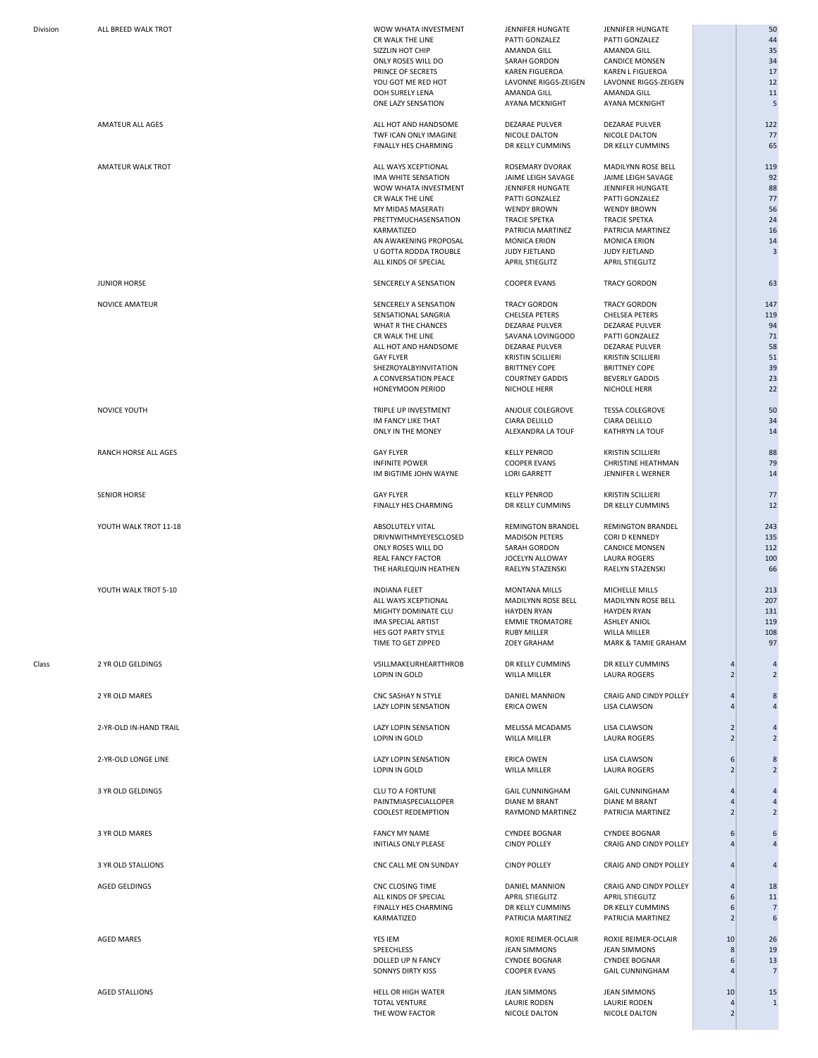| Division | ALL BREED WALK TROT      | WOW WHATA INVESTMENT<br>CR WALK THE LINE<br>SIZZLIN HOT CHIP<br>ONLY ROSES WILL DO<br>PRINCE OF SECRETS<br>YOU GOT ME RED HOT<br>OOH SURELY LENA<br>ONE LAZY SENSATION                                                             | JENNIFER HUNGATE<br>PATTI GONZALEZ<br><b>AMANDA GILL</b><br><b>SARAH GORDON</b><br><b>KAREN FIGUEROA</b><br>LAVONNE RIGGS-ZEIGEN<br>AMANDA GILL<br><b>AYANA MCKNIGHT</b>                                                | JENNIFER HUNGATE<br>PATTI GONZALEZ<br>AMANDA GILL<br><b>CANDICE MONSEN</b><br><b>KAREN L FIGUEROA</b><br><b>LAVONNE RIGGS-ZEIGEN</b><br>AMANDA GILL<br><b>AYANA MCKNIGHT</b>                                               |                     | 50<br>44<br>35<br>34<br>17<br>12<br>11<br>5 <sub>1</sub>      |
|----------|--------------------------|------------------------------------------------------------------------------------------------------------------------------------------------------------------------------------------------------------------------------------|-------------------------------------------------------------------------------------------------------------------------------------------------------------------------------------------------------------------------|----------------------------------------------------------------------------------------------------------------------------------------------------------------------------------------------------------------------------|---------------------|---------------------------------------------------------------|
|          | <b>AMATEUR ALL AGES</b>  | ALL HOT AND HANDSOME<br>TWF ICAN ONLY IMAGINE<br>FINALLY HES CHARMING                                                                                                                                                              | <b>DEZARAE PULVER</b><br>NICOLE DALTON<br>DR KELLY CUMMINS                                                                                                                                                              | <b>DEZARAE PULVER</b><br>NICOLE DALTON<br>DR KELLY CUMMINS                                                                                                                                                                 |                     | 122<br>77<br>65                                               |
|          | <b>AMATEUR WALK TROT</b> | ALL WAYS XCEPTIONAL<br>IMA WHITE SENSATION<br>WOW WHATA INVESTMENT<br>CR WALK THE LINE<br><b>MY MIDAS MASERATI</b><br>PRETTYMUCHASENSATION<br>KARMATIZED<br>AN AWAKENING PROPOSAL<br>U GOTTA RODDA TROUBLE<br>ALL KINDS OF SPECIAL | <b>ROSEMARY DVORAK</b><br>JAIME LEIGH SAVAGE<br>JENNIFER HUNGATE<br>PATTI GONZALEZ<br><b>WENDY BROWN</b><br><b>TRACIE SPETKA</b><br>PATRICIA MARTINEZ<br><b>MONICA ERION</b><br>JUDY FJETLAND<br><b>APRIL STIEGLITZ</b> | <b>MADILYNN ROSE BELL</b><br>JAIME LEIGH SAVAGE<br>JENNIFER HUNGATE<br>PATTI GONZALEZ<br><b>WENDY BROWN</b><br><b>TRACIE SPETKA</b><br>PATRICIA MARTINEZ<br><b>MONICA ERION</b><br>JUDY FJETLAND<br><b>APRIL STIEGLITZ</b> |                     | 119<br>92<br>88<br>77<br>56<br>24<br>16<br>14<br>$\mathbf{3}$ |
|          | <b>JUNIOR HORSE</b>      | SENCERELY A SENSATION                                                                                                                                                                                                              | <b>COOPER EVANS</b>                                                                                                                                                                                                     | <b>TRACY GORDON</b>                                                                                                                                                                                                        |                     | 63                                                            |
|          | <b>NOVICE AMATEUR</b>    | SENCERELY A SENSATION<br>SENSATIONAL SANGRIA<br>WHAT R THE CHANCES<br>CR WALK THE LINE<br>ALL HOT AND HANDSOME<br><b>GAY FLYER</b><br>SHEZROYALBYINVITATION<br>A CONVERSATION PEACE<br>HONEYMOON PERIOD                            | <b>TRACY GORDON</b><br><b>CHELSEA PETERS</b><br><b>DEZARAE PULVER</b><br>SAVANA LOVINGOOD<br>DEZARAE PULVER<br><b>KRISTIN SCILLIERI</b><br><b>BRITTNEY COPE</b><br><b>COURTNEY GADDIS</b><br>NICHOLE HERR               | <b>TRACY GORDON</b><br><b>CHELSEA PETERS</b><br>DEZARAE PULVER<br>PATTI GONZALEZ<br>DEZARAE PULVER<br><b>KRISTIN SCILLIERI</b><br><b>BRITTNEY COPE</b><br><b>BEVERLY GADDIS</b><br>NICHOLE HERR                            |                     | 147<br>119<br>94<br>71<br>58<br>51<br>39<br>23<br>22          |
|          | NOVICE YOUTH             | TRIPLE UP INVESTMENT<br>IM FANCY LIKE THAT<br>ONLY IN THE MONEY                                                                                                                                                                    | ANJOLIE COLEGROVE<br>CIARA DELILLO<br>ALEXANDRA LA TOUF                                                                                                                                                                 | <b>TESSA COLEGROVE</b><br><b>CIARA DELILLO</b><br>KATHRYN LA TOUF                                                                                                                                                          |                     | 50<br>34<br>14                                                |
|          | RANCH HORSE ALL AGES     | <b>GAY FLYER</b><br><b>INFINITE POWER</b><br>IM BIGTIME JOHN WAYNE                                                                                                                                                                 | <b>KELLY PENROD</b><br><b>COOPER EVANS</b><br><b>LORI GARRETT</b>                                                                                                                                                       | <b>KRISTIN SCILLIERI</b><br><b>CHRISTINE HEATHMAN</b><br>JENNIFER L WERNER                                                                                                                                                 |                     | 88<br>79<br>14                                                |
|          | <b>SENIOR HORSE</b>      | <b>GAY FLYER</b><br>FINALLY HES CHARMING                                                                                                                                                                                           | <b>KELLY PENROD</b><br>DR KELLY CUMMINS                                                                                                                                                                                 | <b>KRISTIN SCILLIERI</b><br>DR KELLY CUMMINS                                                                                                                                                                               |                     | 77<br>12                                                      |
|          | YOUTH WALK TROT 11-18    | <b>ABSOLUTELY VITAL</b><br>DRIVNWITHMYEYESCLOSED<br>ONLY ROSES WILL DO<br><b>REAL FANCY FACTOR</b><br>THE HARLEQUIN HEATHEN                                                                                                        | <b>REMINGTON BRANDEL</b><br><b>MADISON PETERS</b><br>SARAH GORDON<br>JOCELYN ALLOWAY<br>RAELYN STAZENSKI                                                                                                                | <b>REMINGTON BRANDEL</b><br><b>CORI D KENNEDY</b><br><b>CANDICE MONSEN</b><br>LAURA ROGERS<br>RAELYN STAZENSKI                                                                                                             |                     | 243<br>135<br>112<br>100<br>66                                |
|          | YOUTH WALK TROT 5-10     | <b>INDIANA FLEET</b><br>ALL WAYS XCEPTIONAL<br>MIGHTY DOMINATE CLU<br><b>IMA SPECIAL ARTIST</b><br>HES GOT PARTY STYLE<br>TIME TO GET ZIPPED                                                                                       | <b>MONTANA MILLS</b><br><b>MADILYNN ROSE BELL</b><br>HAYDEN RYAN<br><b>EMMIE TROMATORE</b><br><b>RUBY MILLER</b><br><b>ZOEY GRAHAM</b>                                                                                  | MICHELLE MILLS<br><b>MADILYNN ROSE BELL</b><br><b>HAYDEN RYAN</b><br><b>ASHLEY ANIOL</b><br><b>WILLA MILLER</b><br><b>MARK &amp; TAMIE GRAHAM</b>                                                                          |                     | 213<br>207<br>131<br>119<br>108<br>97                         |
| Class    | 2 YR OLD GELDINGS        | VSILLMAKEURHEARTTHROB<br>LOPIN IN GOLD                                                                                                                                                                                             | DR KELLY CUMMINS<br><b>WILLA MILLER</b>                                                                                                                                                                                 | DR KELLY CUMMINS<br><b>LAURA ROGERS</b>                                                                                                                                                                                    |                     | 4<br>$\overline{2}$                                           |
|          | 2 YR OLD MARES           | <b>CNC SASHAY N STYLE</b><br>LAZY LOPIN SENSATION                                                                                                                                                                                  | <b>DANIEL MANNION</b><br><b>ERICA OWEN</b>                                                                                                                                                                              | <b>CRAIG AND CINDY POLLEY</b><br>LISA CLAWSON                                                                                                                                                                              |                     | 8                                                             |
|          | 2-YR-OLD IN-HAND TRAIL   | <b>LAZY LOPIN SENSATION</b><br>LOPIN IN GOLD                                                                                                                                                                                       | <b>MELISSA MCADAMS</b><br><b>WILLA MILLER</b>                                                                                                                                                                           | LISA CLAWSON<br><b>LAURA ROGERS</b>                                                                                                                                                                                        | $\overline{2}$<br>2 | $\overline{2}$                                                |
|          | 2-YR-OLD LONGE LINE      | LAZY LOPIN SENSATION<br>LOPIN IN GOLD                                                                                                                                                                                              | <b>ERICA OWEN</b><br><b>WILLA MILLER</b>                                                                                                                                                                                | LISA CLAWSON<br>LAURA ROGERS                                                                                                                                                                                               | 6<br>$\mathcal{P}$  | 8<br>$2^{\circ}$                                              |
|          | 3 YR OLD GELDINGS        | <b>CLU TO A FORTUNE</b><br>PAINTMIASPECIALLOPER<br><b>COOLEST REDEMPTION</b>                                                                                                                                                       | <b>GAIL CUNNINGHAM</b><br><b>DIANE M BRANT</b><br>RAYMOND MARTINEZ                                                                                                                                                      | <b>GAIL CUNNINGHAM</b><br><b>DIANE M BRANT</b><br>PATRICIA MARTINEZ                                                                                                                                                        |                     | 2 <sup>1</sup>                                                |
|          | 3 YR OLD MARES           | <b>FANCY MY NAME</b><br>INITIALS ONLY PLEASE                                                                                                                                                                                       | <b>CYNDEE BOGNAR</b><br><b>CINDY POLLEY</b>                                                                                                                                                                             | <b>CYNDEE BOGNAR</b><br><b>CRAIG AND CINDY POLLEY</b>                                                                                                                                                                      |                     | 6                                                             |
|          | 3 YR OLD STALLIONS       | CNC CALL ME ON SUNDAY                                                                                                                                                                                                              | <b>CINDY POLLEY</b>                                                                                                                                                                                                     | <b>CRAIG AND CINDY POLLEY</b>                                                                                                                                                                                              |                     |                                                               |
|          | AGED GELDINGS            | <b>CNC CLOSING TIME</b><br>ALL KINDS OF SPECIAL<br>FINALLY HES CHARMING<br>KARMATIZED                                                                                                                                              | DANIEL MANNION<br><b>APRIL STIEGLITZ</b><br>DR KELLY CUMMINS<br>PATRICIA MARTINEZ                                                                                                                                       | CRAIG AND CINDY POLLEY<br><b>APRIL STIEGLITZ</b><br>DR KELLY CUMMINS<br>PATRICIA MARTINEZ                                                                                                                                  |                     | 18<br>11<br>$\sqrt{ }$<br>$\boldsymbol{6}$                    |
|          | <b>AGED MARES</b>        | YES IEM<br>SPEECHLESS<br>DOLLED UP N FANCY<br>SONNYS DIRTY KISS                                                                                                                                                                    | ROXIE REIMER-OCLAIR<br><b>JEAN SIMMONS</b><br><b>CYNDEE BOGNAR</b><br><b>COOPER EVANS</b>                                                                                                                               | <b>ROXIE REIMER-OCLAIR</b><br><b>JEAN SIMMONS</b><br><b>CYNDEE BOGNAR</b><br><b>GAIL CUNNINGHAM</b>                                                                                                                        | 10                  | 26<br>19<br>13<br>$\overline{7}$                              |
|          | <b>AGED STALLIONS</b>    | <b>HELL OR HIGH WATER</b><br><b>TOTAL VENTURE</b><br>THE WOW FACTOR                                                                                                                                                                | JEAN SIMMONS<br><b>LAURIE RODEN</b><br>NICOLE DALTON                                                                                                                                                                    | <b>JEAN SIMMONS</b><br>LAURIE RODEN<br>NICOLE DALTON                                                                                                                                                                       | 10<br>2             | 15<br>$\mathbf{1}$                                            |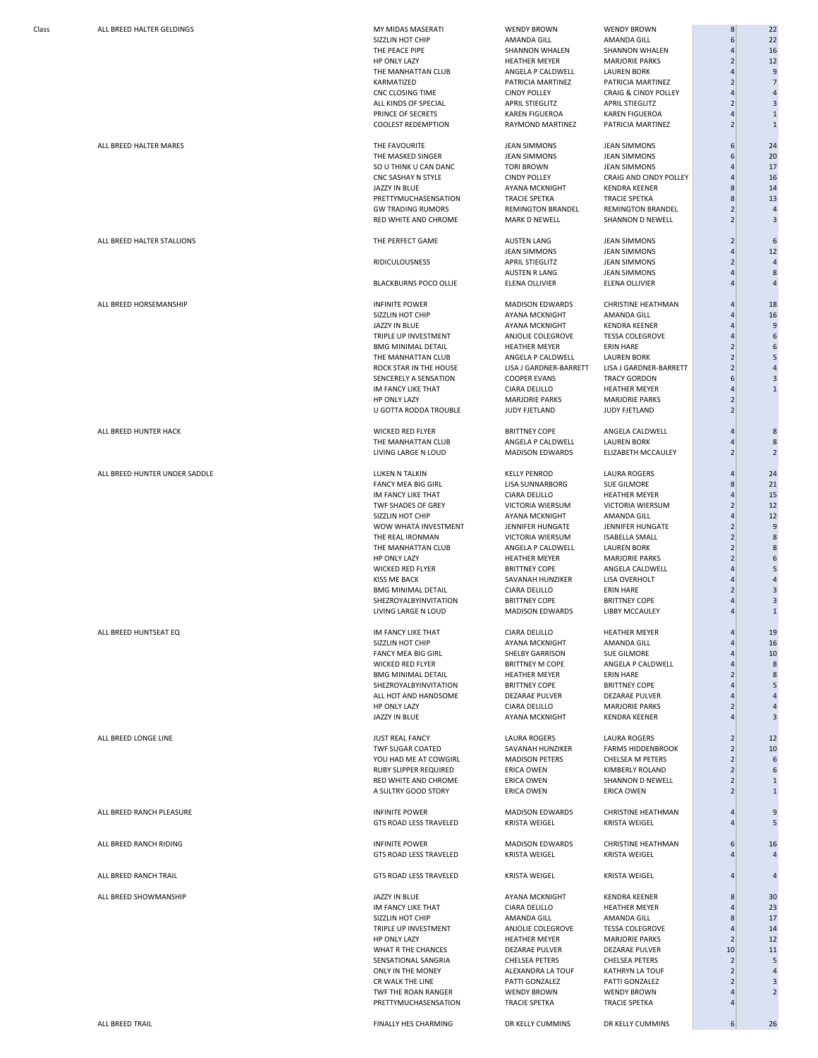| Class | ALL BREED HALTER GELDINGS                | <b>MY MIDAS MASERATI</b><br>SIZZLIN HOT CHIP<br>THE PEACE PIPE<br>HP ONLY LAZY<br>THE MANHATTAN CLUB<br>KARMATIZED<br><b>CNC CLOSING TIME</b><br>ALL KINDS OF SPECIAL<br>PRINCE OF SECRETS<br><b>COOLEST REDEMPTION</b>                                                                                               | <b>WENDY BROWN</b><br>AMANDA GILL<br><b>SHANNON WHALEN</b><br><b>HEATHER MEYER</b><br>ANGELA P CALDWELL<br>PATRICIA MARTINEZ<br><b>CINDY POLLEY</b><br><b>APRIL STIEGLITZ</b><br><b>KAREN FIGUEROA</b><br><b>RAYMOND MARTINEZ</b>                                                                               | <b>WENDY BROWN</b><br>AMANDA GILL<br><b>SHANNON WHALEN</b><br><b>MARJORIE PARKS</b><br><b>LAUREN BORK</b><br>PATRICIA MARTINEZ<br><b>CRAIG &amp; CINDY POLLEY</b><br><b>APRIL STIEGLITZ</b><br><b>KAREN FIGUEROA</b><br>PATRICIA MARTINEZ                                                   | 8                    | 22<br>22<br>16<br>12<br>9<br>$\overline{7}$<br>$\mathbf{3}$<br>$\mathbf{1}$                                             |
|-------|------------------------------------------|-----------------------------------------------------------------------------------------------------------------------------------------------------------------------------------------------------------------------------------------------------------------------------------------------------------------------|-----------------------------------------------------------------------------------------------------------------------------------------------------------------------------------------------------------------------------------------------------------------------------------------------------------------|---------------------------------------------------------------------------------------------------------------------------------------------------------------------------------------------------------------------------------------------------------------------------------------------|----------------------|-------------------------------------------------------------------------------------------------------------------------|
|       | ALL BREED HALTER MARES                   | THE FAVOURITE<br>THE MASKED SINGER<br>SO U THINK U CAN DANC<br><b>CNC SASHAY N STYLE</b><br>JAZZY IN BLUE<br>PRETTYMUCHASENSATION<br><b>GW TRADING RUMORS</b><br>RED WHITE AND CHROME                                                                                                                                 | JEAN SIMMONS<br>JEAN SIMMONS<br><b>TORI BROWN</b><br><b>CINDY POLLEY</b><br><b>AYANA MCKNIGHT</b><br><b>TRACIE SPETKA</b><br><b>REMINGTON BRANDEL</b><br><b>MARK D NEWELL</b>                                                                                                                                   | <b>JEAN SIMMONS</b><br><b>JEAN SIMMONS</b><br><b>JEAN SIMMONS</b><br><b>CRAIG AND CINDY POLLEY</b><br><b>KENDRA KEENER</b><br><b>TRACIE SPETKA</b><br><b>REMINGTON BRANDEL</b><br>SHANNON D NEWELL                                                                                          |                      | 24<br>20<br>17<br>16<br>14<br>13<br>$\overline{4}$<br>$\overline{3}$                                                    |
|       | ALL BREED HALTER STALLIONS               | THE PERFECT GAME                                                                                                                                                                                                                                                                                                      | <b>AUSTEN LANG</b><br><b>JEAN SIMMONS</b>                                                                                                                                                                                                                                                                       | <b>JEAN SIMMONS</b><br><b>JEAN SIMMONS</b>                                                                                                                                                                                                                                                  |                      | 6<br>12                                                                                                                 |
|       |                                          | <b>RIDICULOUSNESS</b><br><b>BLACKBURNS POCO OLLIE</b>                                                                                                                                                                                                                                                                 | <b>APRIL STIEGLITZ</b><br><b>AUSTEN R LANG</b><br>ELENA OLLIVIER                                                                                                                                                                                                                                                | <b>JEAN SIMMONS</b><br><b>JEAN SIMMONS</b><br>ELENA OLLIVIER                                                                                                                                                                                                                                |                      | 8                                                                                                                       |
|       | ALL BREED HORSEMANSHIP                   | <b>INFINITE POWER</b><br>SIZZLIN HOT CHIP<br>JAZZY IN BLUE<br>TRIPLE UP INVESTMENT<br><b>BMG MINIMAL DETAIL</b><br>THE MANHATTAN CLUB<br>ROCK STAR IN THE HOUSE<br>SENCERELY A SENSATION<br>IM FANCY LIKE THAT<br>HP ONLY LAZY<br>U GOTTA RODDA TROUBLE                                                               | <b>MADISON EDWARDS</b><br><b>AYANA MCKNIGHT</b><br>AYANA MCKNIGHT<br>ANJOLIE COLEGROVE<br><b>HEATHER MEYER</b><br>ANGELA P CALDWELL<br>LISA J GARDNER-BARRETT<br><b>COOPER EVANS</b><br><b>CIARA DELILLO</b><br><b>MARJORIE PARKS</b><br>JUDY FJETLAND                                                          | <b>CHRISTINE HEATHMAN</b><br>AMANDA GILL<br><b>KENDRA KEENER</b><br><b>TESSA COLEGROVE</b><br><b>ERIN HARE</b><br><b>LAUREN BORK</b><br>LISA J GARDNER-BARRETT<br><b>TRACY GORDON</b><br><b>HEATHER MEYER</b><br><b>MARJORIE PARKS</b><br>JUDY FJETLAND                                     |                      | 18<br>16<br>6<br>6<br>5<br>4<br>$\overline{3}$                                                                          |
|       | ALL BREED HUNTER HACK                    | <b>WICKED RED FLYER</b><br>THE MANHATTAN CLUB<br>LIVING LARGE N LOUD                                                                                                                                                                                                                                                  | <b>BRITTNEY COPE</b><br>ANGELA P CALDWELL<br><b>MADISON EDWARDS</b>                                                                                                                                                                                                                                             | ANGELA CALDWELL<br><b>LAUREN BORK</b><br>ELIZABETH MCCAULEY                                                                                                                                                                                                                                 |                      | 8<br>$\bf 8$<br>$\overline{2}$                                                                                          |
|       | ALL BREED HUNTER UNDER SADDLE            | LUKEN N TALKIN<br><b>FANCY MEA BIG GIRL</b><br>IM FANCY LIKE THAT<br>TWF SHADES OF GREY<br>SIZZLIN HOT CHIP<br>WOW WHATA INVESTMENT<br>THE REAL IRONMAN<br>THE MANHATTAN CLUB<br>HP ONLY LAZY<br><b>WICKED RED FLYER</b><br>KISS ME BACK<br><b>BMG MINIMAL DETAIL</b><br>SHEZROYALBYINVITATION<br>LIVING LARGE N LOUD | <b>KELLY PENROD</b><br>LISA SUNNARBORG<br>CIARA DELILLO<br><b>VICTORIA WIERSUM</b><br>AYANA MCKNIGHT<br>JENNIFER HUNGATE<br><b>VICTORIA WIERSUM</b><br>ANGELA P CALDWELL<br><b>HEATHER MEYER</b><br><b>BRITTNEY COPE</b><br>SAVANAH HUNZIKER<br>CIARA DELILLO<br><b>BRITTNEY COPE</b><br><b>MADISON EDWARDS</b> | LAURA ROGERS<br><b>SUE GILMORE</b><br><b>HEATHER MEYER</b><br>VICTORIA WIERSUM<br>AMANDA GILL<br>JENNIFER HUNGATE<br><b>ISABELLA SMALL</b><br><b>LAUREN BORK</b><br><b>MARJORIE PARKS</b><br>ANGELA CALDWELL<br>LISA OVERHOLT<br><b>ERIN HARE</b><br><b>BRITTNEY COPE</b><br>LIBBY MCCAULEY |                      | 24<br>21<br>15<br>12<br>12<br>9<br>8<br>8<br>6<br>5<br>$\overline{4}$<br>$\overline{3}$<br>$\mathbf{3}$<br>$\mathbf{1}$ |
|       | ALL BREED HUNTSEAT EQ                    | IM FANCY LIKE THAT<br>SIZZLIN HOT CHIP<br><b>FANCY MEA BIG GIRL</b><br><b>WICKED RED FLYER</b><br><b>BMG MINIMAL DETAIL</b><br>SHEZROYALBYINVITATION<br>ALL HOT AND HANDSOME<br>HP ONLY LAZY<br>JAZZY IN BLUE                                                                                                         | CIARA DELILLO<br><b>AYANA MCKNIGHT</b><br><b>SHELBY GARRISON</b><br><b>BRITTNEY M COPE</b><br><b>HEATHER MEYER</b><br><b>BRITTNEY COPE</b><br><b>DEZARAE PULVER</b><br>CIARA DELILLO<br><b>AYANA MCKNIGHT</b>                                                                                                   | <b>HEATHER MEYER</b><br>AMANDA GILL<br><b>SUE GILMORE</b><br>ANGELA P CALDWELL<br><b>ERIN HARE</b><br><b>BRITTNEY COPE</b><br><b>DEZARAE PULVER</b><br><b>MARJORIE PARKS</b><br><b>KENDRA KEENER</b>                                                                                        |                      | 19<br>16<br>10<br>8<br>$\,8$<br>5<br>$\overline{3}$                                                                     |
|       | ALL BREED LONGE LINE                     | <b>JUST REAL FANCY</b><br>TWF SUGAR COATED<br>YOU HAD ME AT COWGIRL<br><b>RUBY SLIPPER REQUIRED</b><br>RED WHITE AND CHROME<br>A SULTRY GOOD STORY                                                                                                                                                                    | LAURA ROGERS<br>SAVANAH HUNZIKER<br><b>MADISON PETERS</b><br><b>ERICA OWEN</b><br><b>ERICA OWEN</b><br>ERICA OWEN                                                                                                                                                                                               | LAURA ROGERS<br><b>FARMS HIDDENBROOK</b><br>CHELSEA M PETERS<br><b>KIMBERLY ROLAND</b><br><b>SHANNON D NEWELL</b><br><b>ERICA OWEN</b>                                                                                                                                                      | $\mathbf{Z}$         | 12<br>10<br>6<br>6<br>$\mathbf{1}$<br>$\mathbf{1}$                                                                      |
|       | ALL BREED RANCH PLEASURE                 | <b>INFINITE POWER</b><br><b>GTS ROAD LESS TRAVELED</b>                                                                                                                                                                                                                                                                | <b>MADISON EDWARDS</b><br><b>KRISTA WEIGEL</b>                                                                                                                                                                                                                                                                  | <b>CHRISTINE HEATHMAN</b><br><b>KRISTA WEIGEL</b>                                                                                                                                                                                                                                           |                      | 9<br>5                                                                                                                  |
|       | ALL BREED RANCH RIDING                   | <b>INFINITE POWER</b><br><b>GTS ROAD LESS TRAVELED</b>                                                                                                                                                                                                                                                                | <b>MADISON EDWARDS</b><br><b>KRISTA WEIGEL</b>                                                                                                                                                                                                                                                                  | <b>CHRISTINE HEATHMAN</b><br><b>KRISTA WEIGEL</b>                                                                                                                                                                                                                                           |                      | 16                                                                                                                      |
|       | ALL BREED RANCH TRAIL                    | <b>GTS ROAD LESS TRAVELED</b>                                                                                                                                                                                                                                                                                         | <b>KRISTA WEIGEL</b>                                                                                                                                                                                                                                                                                            | <b>KRISTA WEIGEL</b>                                                                                                                                                                                                                                                                        |                      |                                                                                                                         |
|       | ALL BREED SHOWMANSHIP<br>ALL BREED TRAIL | JAZZY IN BLUE<br>IM FANCY LIKE THAT<br>SIZZLIN HOT CHIP<br>TRIPLE UP INVESTMENT<br>HP ONLY LAZY<br>WHAT R THE CHANCES<br>SENSATIONAL SANGRIA<br>ONLY IN THE MONEY<br>CR WALK THE LINE<br>TWF THE ROAN RANGER<br>PRETTYMUCHASENSATION<br>FINALLY HES CHARMING                                                          | AYANA MCKNIGHT<br>CIARA DELILLO<br><b>AMANDA GILL</b><br><b>ANJOLIE COLEGROVE</b><br><b>HEATHER MEYER</b><br>DEZARAE PULVER<br><b>CHELSEA PETERS</b><br>ALEXANDRA LA TOUF<br>PATTI GONZALEZ<br><b>WENDY BROWN</b><br><b>TRACIE SPETKA</b><br>DR KELLY CUMMINS                                                   | <b>KENDRA KEENER</b><br><b>HEATHER MEYER</b><br>AMANDA GILL<br><b>TESSA COLEGROVE</b><br><b>MARJORIE PARKS</b><br>DEZARAE PULVER<br><b>CHELSEA PETERS</b><br><b>KATHRYN LA TOUF</b><br>PATTI GONZALEZ<br><b>WENDY BROWN</b><br><b>TRACIE SPETKA</b><br>DR KELLY CUMMINS                     | 10<br>6 <sup>1</sup> | 30 <sup>°</sup><br>23<br>$17$<br>14<br>12<br>11<br>5<br>$\overline{4}$<br>$\mathsf{3}$<br>$\overline{2}$<br>26          |
|       |                                          |                                                                                                                                                                                                                                                                                                                       |                                                                                                                                                                                                                                                                                                                 |                                                                                                                                                                                                                                                                                             |                      |                                                                                                                         |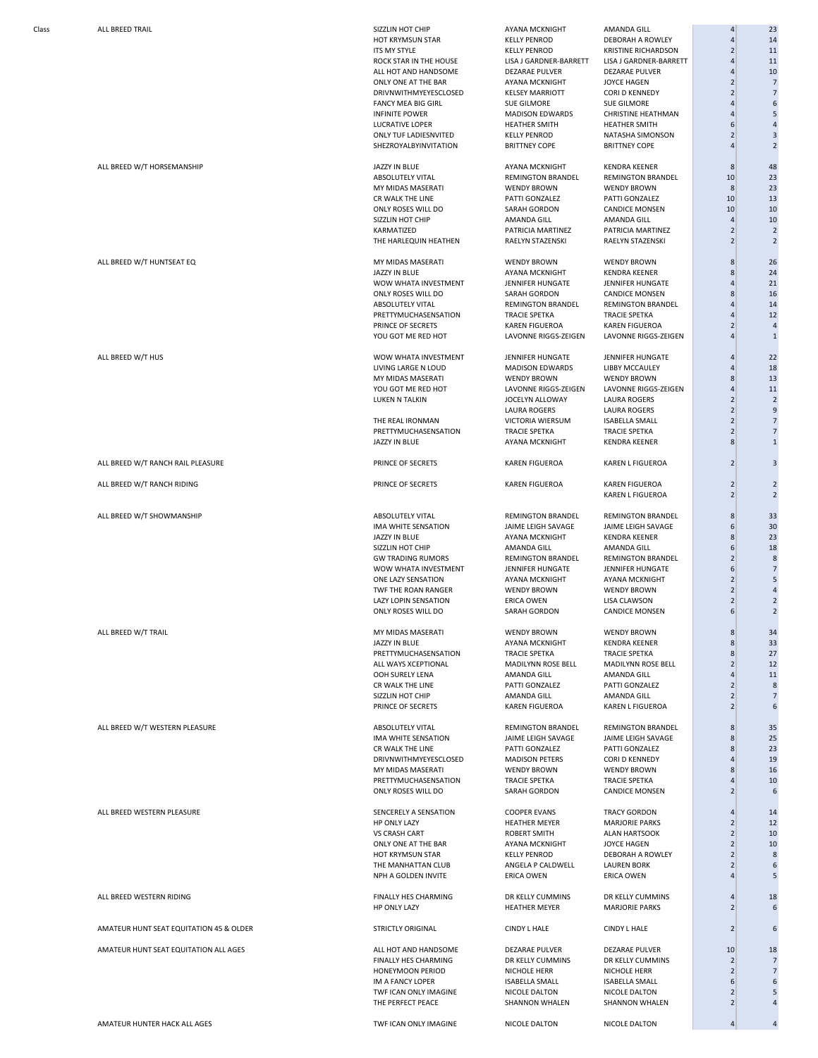| Class | ALL BREED TRAIL                         | SIZZLIN HOT CHIP<br>HOT KRYMSUN STAR<br>ITS MY STYLE<br>ROCK STAR IN THE HOUSE<br>ALL HOT AND HANDSOME<br>ONLY ONE AT THE BAR<br>DRIVNWITHMYEYESCLOSED<br><b>FANCY MEA BIG GIRL</b><br><b>INFINITE POWER</b><br>LUCRATIVE LOPER<br><b>ONLY TUF LADIESNVITED</b><br>SHEZROYALBYINVITATION | <b>AYANA MCKNIGHT</b><br><b>KELLY PENROD</b><br><b>KELLY PENROD</b><br>LISA J GARDNER-BARRETT<br>DEZARAE PULVER<br><b>AYANA MCKNIGHT</b><br><b>KELSEY MARRIOTT</b><br><b>SUE GILMORE</b><br><b>MADISON EDWARDS</b><br><b>HEATHER SMITH</b><br><b>KELLY PENROD</b><br><b>BRITTNEY COPE</b> | AMANDA GILL<br>DEBORAH A ROWLEY<br><b>KRISTINE RICHARDSON</b><br>LISA J GARDNER-BARRETT<br>DEZARAE PULVER<br>JOYCE HAGEN<br><b>CORI D KENNEDY</b><br><b>SUE GILMORE</b><br><b>CHRISTINE HEATHMAN</b><br><b>HEATHER SMITH</b><br>NATASHA SIMONSON<br><b>BRITTNEY COPE</b> |                | 23<br>14<br>11<br>11<br>10<br>$\overline{7}$<br>$\overline{7}$<br>$\boldsymbol{6}$<br>5<br>$\overline{\mathbf{r}}$<br>$\mathbf{3}$<br>$\overline{2}$ |
|-------|-----------------------------------------|------------------------------------------------------------------------------------------------------------------------------------------------------------------------------------------------------------------------------------------------------------------------------------------|-------------------------------------------------------------------------------------------------------------------------------------------------------------------------------------------------------------------------------------------------------------------------------------------|--------------------------------------------------------------------------------------------------------------------------------------------------------------------------------------------------------------------------------------------------------------------------|----------------|------------------------------------------------------------------------------------------------------------------------------------------------------|
|       | ALL BREED W/T HORSEMANSHIP              | JAZZY IN BLUE<br><b>ABSOLUTELY VITAL</b><br><b>MY MIDAS MASERATI</b><br>CR WALK THE LINE<br>ONLY ROSES WILL DO<br>SIZZLIN HOT CHIP<br>KARMATIZED<br>THE HARLEQUIN HEATHEN                                                                                                                | <b>AYANA MCKNIGHT</b><br><b>REMINGTON BRANDEL</b><br><b>WENDY BROWN</b><br>PATTI GONZALEZ<br>SARAH GORDON<br><b>AMANDA GILL</b><br>PATRICIA MARTINEZ<br>RAELYN STAZENSKI                                                                                                                  | KENDRA KEENER<br><b>REMINGTON BRANDEL</b><br><b>WENDY BROWN</b><br><b>PATTI GONZALEZ</b><br><b>CANDICE MONSEN</b><br>AMANDA GILL<br>PATRICIA MARTINEZ<br>RAELYN STAZENSKI                                                                                                | 10<br>10<br>10 | 48<br>23<br>23<br>13<br>10<br>10<br>$\overline{2}$<br>$\overline{2}$                                                                                 |
|       | ALL BREED W/T HUNTSEAT EQ               | <b>MY MIDAS MASERATI</b><br>JAZZY IN BLUE<br>WOW WHATA INVESTMENT<br>ONLY ROSES WILL DO<br><b>ABSOLUTELY VITAL</b><br>PRETTYMUCHASENSATION<br>PRINCE OF SECRETS<br>YOU GOT ME RED HOT                                                                                                    | <b>WENDY BROWN</b><br>AYANA MCKNIGHT<br><b>JENNIFER HUNGATE</b><br>SARAH GORDON<br><b>REMINGTON BRANDEL</b><br><b>TRACIE SPETKA</b><br><b>KAREN FIGUEROA</b><br>LAVONNE RIGGS-ZEIGEN                                                                                                      | <b>WENDY BROWN</b><br>KENDRA KEENER<br>JENNIFER HUNGATE<br><b>CANDICE MONSEN</b><br><b>REMINGTON BRANDEL</b><br><b>TRACIE SPETKA</b><br><b>KAREN FIGUEROA</b><br>LAVONNE RIGGS-ZEIGEN                                                                                    |                | 26<br>24<br>21<br>16<br>14<br>12<br>$\overline{4}$<br>$\mathbf{1}$                                                                                   |
|       | ALL BREED W/T HUS                       | WOW WHATA INVESTMENT<br>LIVING LARGE N LOUD<br><b>MY MIDAS MASERATI</b><br>YOU GOT ME RED HOT<br>LUKEN N TALKIN<br>THE REAL IRONMAN<br>PRETTYMUCHASENSATION<br>JAZZY IN BLUE                                                                                                             | JENNIFER HUNGATE<br><b>MADISON EDWARDS</b><br><b>WENDY BROWN</b><br>LAVONNE RIGGS-ZEIGEN<br><b>JOCELYN ALLOWAY</b><br><b>LAURA ROGERS</b><br><b>VICTORIA WIERSUM</b><br><b>TRACIE SPETKA</b><br><b>AYANA MCKNIGHT</b>                                                                     | JENNIFER HUNGATE<br><b>LIBBY MCCAULEY</b><br><b>WENDY BROWN</b><br>LAVONNE RIGGS-ZEIGEN<br><b>LAURA ROGERS</b><br>LAURA ROGERS<br><b>ISABELLA SMALL</b><br><b>TRACIE SPETKA</b><br>KENDRA KEENER                                                                         |                | 22<br>18<br>13<br>11<br>$\overline{2}$<br>$9\,$<br>$\sqrt{ }$<br>$\sqrt{ }$<br>$\mathbf{1}$                                                          |
|       | ALL BREED W/T RANCH RAIL PLEASURE       | PRINCE OF SECRETS                                                                                                                                                                                                                                                                        | <b>KAREN FIGUEROA</b>                                                                                                                                                                                                                                                                     | <b>KAREN L FIGUEROA</b>                                                                                                                                                                                                                                                  | 2              | $\overline{3}$                                                                                                                                       |
|       | ALL BREED W/T RANCH RIDING              | PRINCE OF SECRETS                                                                                                                                                                                                                                                                        | <b>KAREN FIGUEROA</b>                                                                                                                                                                                                                                                                     | <b>KAREN FIGUEROA</b><br><b>KAREN L FIGUEROA</b>                                                                                                                                                                                                                         | $\overline{2}$ | $\overline{2}$<br>$\overline{2}$                                                                                                                     |
|       | ALL BREED W/T SHOWMANSHIP               | <b>ABSOLUTELY VITAL</b><br>IMA WHITE SENSATION<br>JAZZY IN BLUE<br>SIZZLIN HOT CHIP<br><b>GW TRADING RUMORS</b><br>WOW WHATA INVESTMENT<br>ONE LAZY SENSATION<br>TWF THE ROAN RANGER<br>LAZY LOPIN SENSATION<br>ONLY ROSES WILL DO                                                       | <b>REMINGTON BRANDEL</b><br>JAIME LEIGH SAVAGE<br><b>AYANA MCKNIGHT</b><br>AMANDA GILL<br><b>REMINGTON BRANDEL</b><br><b>JENNIFER HUNGATE</b><br>AYANA MCKNIGHT<br><b>WENDY BROWN</b><br><b>ERICA OWEN</b><br>SARAH GORDON                                                                | <b>REMINGTON BRANDEL</b><br>JAIME LEIGH SAVAGE<br><b>KENDRA KEENER</b><br>AMANDA GILL<br><b>REMINGTON BRANDEL</b><br>JENNIFER HUNGATE<br><b>AYANA MCKNIGHT</b><br><b>WENDY BROWN</b><br>LISA CLAWSON<br><b>CANDICE MONSEN</b>                                            |                | 33<br>30<br>23<br>$18\,$<br>$\bf 8$<br>$\overline{7}$<br>5<br>$\overline{\mathbf{4}}$<br>$\overline{\mathbf{c}}$<br>$\overline{2}$                   |
|       | ALL BREED W/T TRAIL                     | <b>MY MIDAS MASERATI</b><br>JAZZY IN BLUE<br>PRETTYMUCHASENSATION<br>ALL WAYS XCEPTIONAL<br>OOH SURELY LENA<br>CR WALK THE LINE<br>SIZZLIN HOT CHIP<br>PRINCE OF SECRETS                                                                                                                 | <b>WENDY BROWN</b><br><b>AYANA MCKNIGHT</b><br><b>TRACIE SPETKA</b><br><b>MADILYNN ROSE BELL</b><br>AMANDA GILL<br>PATTI GONZALEZ<br>AMANDA GILL<br><b>KAREN FIGUEROA</b>                                                                                                                 | <b>WENDY BROWN</b><br>KENDRA KEENER<br><b>TRACIE SPETKA</b><br><b>MADILYNN ROSE BELL</b><br>AMANDA GILL<br>PATTI GONZALEZ<br>AMANDA GILL<br><b>KAREN L FIGUEROA</b>                                                                                                      |                | 34<br>33<br>27<br>12<br>11<br>$\bf 8$<br>$\overline{7}$<br>$\boldsymbol{6}$                                                                          |
|       | ALL BREED W/T WESTERN PLEASURE          | <b>ABSOLUTELY VITAL</b><br>IMA WHITE SENSATION<br>CR WALK THE LINE<br>DRIVNWITHMYEYESCLOSED<br>MY MIDAS MASERATI<br>PRETTYMUCHASENSATION<br>ONLY ROSES WILL DO                                                                                                                           | <b>REMINGTON BRANDEL</b><br>JAIME LEIGH SAVAGE<br>PATTI GONZALEZ<br><b>MADISON PETERS</b><br><b>WENDY BROWN</b><br><b>TRACIE SPETKA</b><br>SARAH GORDON                                                                                                                                   | <b>REMINGTON BRANDEL</b><br>JAIME LEIGH SAVAGE<br>PATTI GONZALEZ<br><b>CORI D KENNEDY</b><br><b>WENDY BROWN</b><br><b>TRACIE SPETKA</b><br><b>CANDICE MONSEN</b>                                                                                                         |                | 35<br>25<br>23<br>19<br>16<br>10<br>$6\phantom{a}$                                                                                                   |
|       | ALL BREED WESTERN PLEASURE              | SENCERELY A SENSATION<br>HP ONLY LAZY<br><b>VS CRASH CART</b><br>ONLY ONE AT THE BAR<br><b>HOT KRYMSUN STAR</b><br>THE MANHATTAN CLUB<br>NPH A GOLDEN INVITE                                                                                                                             | <b>COOPER EVANS</b><br><b>HEATHER MEYER</b><br><b>ROBERT SMITH</b><br><b>AYANA MCKNIGHT</b><br><b>KELLY PENROD</b><br>ANGELA P CALDWELL<br><b>ERICA OWEN</b>                                                                                                                              | <b>TRACY GORDON</b><br><b>MARJORIE PARKS</b><br><b>ALAN HARTSOOK</b><br>JOYCE HAGEN<br><b>DEBORAH A ROWLEY</b><br>LAUREN BORK<br><b>ERICA OWEN</b>                                                                                                                       |                | 14<br>12<br>10<br>$10\,$<br>$\,$ 8<br>$6\,$<br>5                                                                                                     |
|       | ALL BREED WESTERN RIDING                | FINALLY HES CHARMING<br>HP ONLY LAZY                                                                                                                                                                                                                                                     | DR KELLY CUMMINS<br><b>HEATHER MEYER</b>                                                                                                                                                                                                                                                  | DR KELLY CUMMINS<br><b>MARJORIE PARKS</b>                                                                                                                                                                                                                                |                | 18<br>6                                                                                                                                              |
|       | AMATEUR HUNT SEAT EQUITATION 45 & OLDER | <b>STRICTLY ORIGINAL</b>                                                                                                                                                                                                                                                                 | <b>CINDY L HALE</b>                                                                                                                                                                                                                                                                       | CINDY L HALE                                                                                                                                                                                                                                                             | $\overline{2}$ | 6                                                                                                                                                    |
|       | AMATEUR HUNT SEAT EQUITATION ALL AGES   | ALL HOT AND HANDSOME<br>FINALLY HES CHARMING<br><b>HONEYMOON PERIOD</b><br>IM A FANCY LOPER<br>TWF ICAN ONLY IMAGINE<br>THE PERFECT PEACE                                                                                                                                                | DEZARAE PULVER<br>DR KELLY CUMMINS<br><b>NICHOLE HERR</b><br><b>ISABELLA SMALL</b><br>NICOLE DALTON<br><b>SHANNON WHALEN</b>                                                                                                                                                              | DEZARAE PULVER<br>DR KELLY CUMMINS<br>NICHOLE HERR<br><b>ISABELLA SMALL</b><br>NICOLE DALTON<br><b>SHANNON WHALEN</b>                                                                                                                                                    | 10             | 18<br>$\overline{7}$<br>7<br>6<br>5                                                                                                                  |
|       | AMATEUR HUNTER HACK ALL AGES            | TWF ICAN ONLY IMAGINE                                                                                                                                                                                                                                                                    | NICOLE DALTON                                                                                                                                                                                                                                                                             | NICOLE DALTON                                                                                                                                                                                                                                                            | 4              | 4                                                                                                                                                    |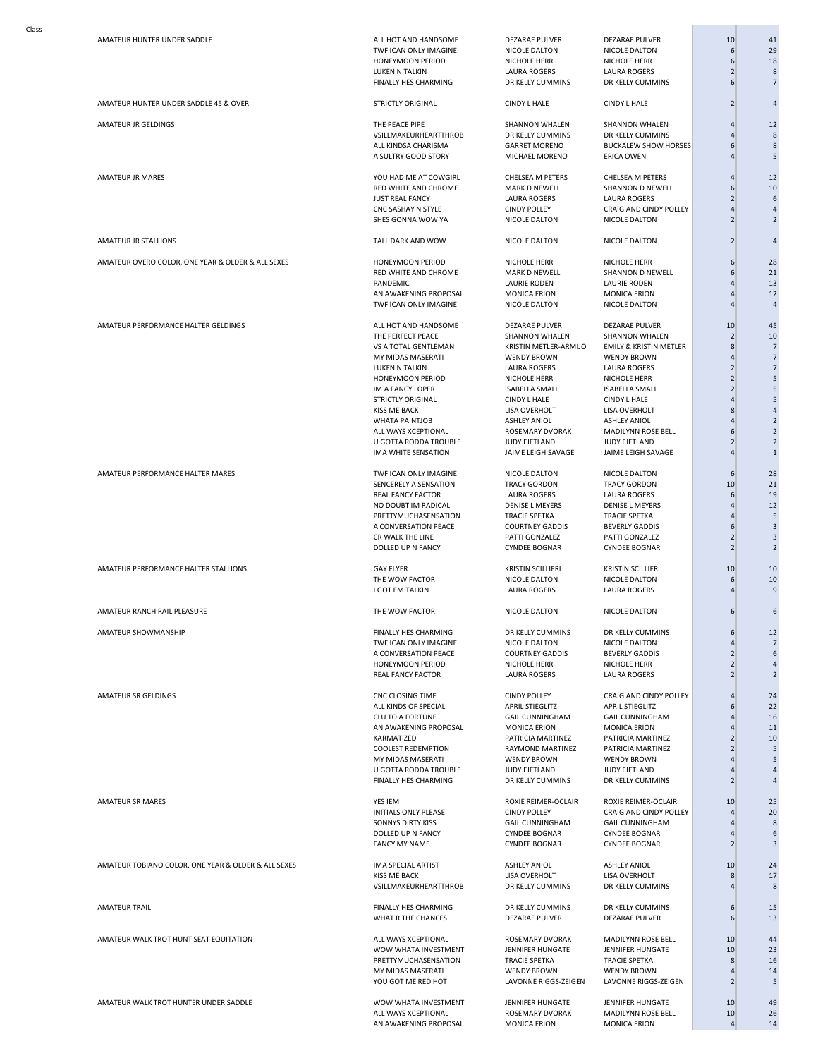ALL KINDS OF SPECIAL APRIL STIEGLITZ APRIL STIEGLITZ 6 22 CLU TO A FORTUNE GAIL CUNNINGHAM GAIL CUNNINGHAM GAIL CUNNINGHAM 4 16

TWF ICAN ONLY IMAGINE NICOLE DALTON NICOLE DALTON<br>
A CONVERSATION PEACE COURTNEY GADDIS BEVERLY GADDIS 2 6 A CONVERSATION PEACE COURTNEY GADDIS BEVERLY GADDIS 2 6 HONEYMOON PERIOD NICHOLE HERR NICHOLE HERR NICHOLE HERR 2 4 REAL FANCY FACTOR **EXAMPLE A LAURA ROGERS** LAURA ROGERS 2 2

| AMATEUR HUNTER UNDER SADDLE                       | ALL HOT AND HANDSOME                         | <b>DEZARAE PULVER</b>               | DEZARAE PULVER                             | 10              | 41                             |
|---------------------------------------------------|----------------------------------------------|-------------------------------------|--------------------------------------------|-----------------|--------------------------------|
|                                                   | TWF ICAN ONLY IMAGINE                        | NICOLE DALTON                       | NICOLE DALTON                              |                 | 29                             |
|                                                   | <b>HONEYMOON PERIOD</b>                      | NICHOLE HERR                        | <b>NICHOLE HERR</b>                        | 6               | 18                             |
|                                                   | <b>LUKEN N TALKIN</b>                        | <b>LAURA ROGERS</b>                 | LAURA ROGERS                               | 2               | $\bf 8$                        |
|                                                   | FINALLY HES CHARMING                         | DR KELLY CUMMINS                    | DR KELLY CUMMINS                           |                 | $\overline{7}$                 |
| AMATEUR HUNTER UNDER SADDLE 45 & OVER             | <b>STRICTLY ORIGINAL</b>                     | <b>CINDY L HALE</b>                 | <b>CINDY L HALE</b>                        | 2               |                                |
| AMATEUR JR GELDINGS                               | THE PEACE PIPE                               | <b>SHANNON WHALEN</b>               | <b>SHANNON WHALEN</b>                      | 4               | 12                             |
|                                                   | VSILLMAKEURHEARTTHROB                        | DR KELLY CUMMINS                    | DR KELLY CUMMINS                           |                 | 8                              |
|                                                   | ALL KINDSA CHARISMA                          | <b>GARRET MORENO</b>                | <b>BUCKALEW SHOW HORSES</b>                | 6               | 8                              |
|                                                   | A SULTRY GOOD STORY                          | MICHAEL MORENO                      | <b>ERICA OWEN</b>                          |                 | 5                              |
| <b>AMATEUR JR MARES</b>                           | YOU HAD ME AT COWGIRL                        | <b>CHELSEA M PETERS</b>             | CHELSEA M PETERS                           |                 | 12                             |
|                                                   | RED WHITE AND CHROME                         | <b>MARK D NEWELL</b>                | <b>SHANNON D NEWELL</b>                    |                 | 10                             |
|                                                   | <b>JUST REAL FANCY</b>                       | <b>LAURA ROGERS</b>                 | LAURA ROGERS                               | $\overline{2}$  | 6                              |
|                                                   | CNC SASHAY N STYLE                           | <b>CINDY POLLEY</b>                 | CRAIG AND CINDY POLLEY                     | 4               | $\overline{4}$                 |
|                                                   | SHES GONNA WOW YA                            | NICOLE DALTON                       | NICOLE DALTON                              | 2               | $\overline{2}$                 |
| <b>AMATEUR JR STALLIONS</b>                       | TALL DARK AND WOW                            | NICOLE DALTON                       | NICOLE DALTON                              | 2               | 4                              |
| AMATEUR OVERO COLOR, ONE YEAR & OLDER & ALL SEXES | <b>HONEYMOON PERIOD</b>                      | NICHOLE HERR                        | <b>NICHOLE HERR</b>                        |                 | 28                             |
|                                                   | RED WHITE AND CHROME                         | <b>MARK D NEWELL</b>                | <b>SHANNON D NEWELL</b>                    |                 | 21                             |
|                                                   | <b>PANDEMIC</b>                              | <b>LAURIE RODEN</b>                 | <b>LAURIE RODEN</b>                        |                 | 13                             |
|                                                   | AN AWAKENING PROPOSAL                        | <b>MONICA ERION</b>                 | <b>MONICA ERION</b>                        |                 | 12                             |
|                                                   | TWF ICAN ONLY IMAGINE                        | NICOLE DALTON                       | NICOLE DALTON                              |                 | $\overline{4}$                 |
| AMATEUR PERFORMANCE HALTER GELDINGS               | ALL HOT AND HANDSOME                         | <b>DEZARAE PULVER</b>               | <b>DEZARAE PULVER</b>                      | 10              | 45                             |
|                                                   | THE PERFECT PEACE                            | <b>SHANNON WHALEN</b>               | <b>SHANNON WHALEN</b>                      | 2               | 10                             |
|                                                   | VS A TOTAL GENTLEMAN                         | KRISTIN METLER-ARMIJO               | <b>EMILY &amp; KRISTIN METLER</b>          |                 | 7                              |
|                                                   | MY MIDAS MASERATI                            | <b>WENDY BROWN</b>                  | <b>WENDY BROWN</b>                         |                 | $\overline{7}$                 |
|                                                   | LUKEN N TALKIN                               | <b>LAURA ROGERS</b>                 | LAURA ROGERS                               | 2               | $\overline{7}$                 |
|                                                   | HONEYMOON PERIOD                             | NICHOLE HERR                        | NICHOLE HERR                               |                 |                                |
|                                                   | IM A FANCY LOPER                             | <b>ISABELLA SMALL</b>               | <b>ISABELLA SMALL</b>                      | $\overline{2}$  | 5                              |
|                                                   | <b>STRICTLY ORIGINAL</b>                     | <b>CINDY L HALE</b>                 | <b>CINDY L HALE</b>                        | 4               |                                |
|                                                   | <b>KISS ME BACK</b>                          | LISA OVERHOLT                       | LISA OVERHOLT                              | 8               |                                |
|                                                   | <b>WHATA PAINTIOB</b>                        | <b>ASHLEY ANIOL</b>                 | <b>ASHLEY ANIOL</b>                        | 4               | $\overline{2}$                 |
|                                                   | ALL WAYS XCEPTIONAL                          | <b>ROSEMARY DVORAK</b>              | <b>MADILYNN ROSE BELL</b>                  | 6               | $\overline{2}$                 |
|                                                   | U GOTTA RODDA TROUBLE<br>IMA WHITE SENSATION | JUDY FJETLAND<br>JAIME LEIGH SAVAGE | <b>JUDY FJETLAND</b><br>JAIME LEIGH SAVAGE |                 | $\overline{2}$<br>$\mathbf{1}$ |
| AMATEUR PERFORMANCE HALTER MARES                  | TWF ICAN ONLY IMAGINE                        | NICOLE DALTON                       | NICOLE DALTON                              | 6               | 28                             |
|                                                   | SENCERELY A SENSATION                        | <b>TRACY GORDON</b>                 | <b>TRACY GORDON</b>                        | 10 <sup>1</sup> | 21                             |
|                                                   | <b>REAL FANCY FACTOR</b>                     | LAURA ROGERS                        | LAURA ROGERS                               |                 | 19                             |
|                                                   | NO DOUBT IM RADICAL                          | <b>DENISE L MEYERS</b>              | <b>DENISE L MEYERS</b>                     |                 | 12                             |
|                                                   | PRETTYMUCHASENSATION                         | <b>TRACIE SPETKA</b>                | <b>TRACIE SPETKA</b>                       |                 | 5                              |
|                                                   | A CONVERSATION PEACE                         | <b>COURTNEY GADDIS</b>              | <b>BEVERLY GADDIS</b>                      | 6               | $\overline{3}$                 |
|                                                   | CR WALK THE LINE                             | PATTI GONZALEZ                      | PATTI GONZALEZ                             | 2               | 3                              |
|                                                   | DOLLED UP N FANCY                            | <b>CYNDEE BOGNAR</b>                | <b>CYNDEE BOGNAR</b>                       | 2               | $\overline{2}$                 |
| AMATEUR PERFORMANCE HALTER STALLIONS              | <b>GAY FLYER</b>                             | <b>KRISTIN SCILLIERI</b>            | <b>KRISTIN SCILLIERI</b>                   | 10 <sup>°</sup> | 10                             |
|                                                   | THE WOW FACTOR                               | NICOLE DALTON                       | NICOLE DALTON                              |                 | 10                             |
|                                                   | <b>I GOT EM TALKIN</b>                       | LAURA ROGERS                        | LAURA ROGERS                               |                 | 9                              |
| AMATEUR RANCH RAIL PLEASURE                       | THE WOW FACTOR                               | NICOLE DALTON                       | NICOLE DALTON                              | 6               | 6                              |
| AMATEUR SHOWMANSHIP                               | FINALLY HES CHARMING                         | DR KELLY CUMMINS                    | DR KELLY CUMMINS                           | $6 \mid$        | 12                             |

|                                                     | AN AWAKENING PROPOSAL       | <b>MONICA ERION</b>     | <b>MONICA ERION</b>       |    | 11             |
|-----------------------------------------------------|-----------------------------|-------------------------|---------------------------|----|----------------|
|                                                     | KARMATIZED                  | PATRICIA MARTINEZ       | PATRICIA MARTINEZ         |    | 10             |
|                                                     | <b>COOLEST REDEMPTION</b>   | <b>RAYMOND MARTINEZ</b> | PATRICIA MARTINEZ         |    |                |
|                                                     | <b>MY MIDAS MASERATI</b>    | <b>WENDY BROWN</b>      | <b>WENDY BROWN</b>        |    |                |
|                                                     | U GOTTA RODDA TROUBLE       | <b>JUDY FJETLAND</b>    | <b>JUDY FJETLAND</b>      |    | $\overline{4}$ |
|                                                     | <b>FINALLY HES CHARMING</b> | DR KELLY CUMMINS        | DR KELLY CUMMINS          |    | $\overline{4}$ |
| <b>AMATEUR SR MARES</b>                             | YES IEM                     | ROXIE REIMER-OCLAIR     | ROXIE REIMER-OCLAIR       | 10 | 25             |
|                                                     | <b>INITIALS ONLY PLEASE</b> | <b>CINDY POLLEY</b>     | CRAIG AND CINDY POLLEY    |    | 20             |
|                                                     | <b>SONNYS DIRTY KISS</b>    | <b>GAIL CUNNINGHAM</b>  | <b>GAIL CUNNINGHAM</b>    |    | 8              |
|                                                     | DOLLED UP N FANCY           | <b>CYNDEE BOGNAR</b>    | <b>CYNDEE BOGNAR</b>      |    | 6              |
|                                                     | <b>FANCY MY NAME</b>        | <b>CYNDEE BOGNAR</b>    | <b>CYNDEE BOGNAR</b>      |    | $\overline{3}$ |
| AMATEUR TOBIANO COLOR, ONE YEAR & OLDER & ALL SEXES | <b>IMA SPECIAL ARTIST</b>   | <b>ASHLEY ANIOL</b>     | <b>ASHLEY ANIOL</b>       | 10 | 24             |
|                                                     | KISS ME BACK                | LISA OVERHOLT           | LISA OVERHOLT             |    | 17             |
|                                                     | VSILLMAKEURHEARTTHROB       | DR KELLY CUMMINS        | DR KELLY CUMMINS          |    | 8              |
| <b>AMATEUR TRAIL</b>                                | <b>FINALLY HES CHARMING</b> | DR KELLY CUMMINS        | DR KELLY CUMMINS          | 6  | 15             |
|                                                     | <b>WHAT R THE CHANCES</b>   | <b>DEZARAE PULVER</b>   | <b>DEZARAE PULVER</b>     |    | 13             |
| AMATEUR WALK TROT HUNT SEAT EQUITATION              | ALL WAYS XCEPTIONAL         | ROSEMARY DVORAK         | <b>MADILYNN ROSE BELL</b> | 10 | 44             |
|                                                     | WOW WHATA INVESTMENT        | <b>JENNIFER HUNGATE</b> | <b>JENNIFER HUNGATE</b>   | 10 | 23             |
|                                                     | PRETTYMUCHASENSATION        | <b>TRACIE SPETKA</b>    | <b>TRACIE SPETKA</b>      |    | 16             |
|                                                     | <b>MY MIDAS MASERATI</b>    | <b>WENDY BROWN</b>      | <b>WENDY BROWN</b>        |    | 14             |
|                                                     | YOU GOT ME RED HOT          | LAVONNE RIGGS-ZEIGEN    | LAVONNE RIGGS-ZEIGEN      |    | 5              |
| AMATEUR WALK TROT HUNTER UNDER SADDLE               | WOW WHATA INVESTMENT        | <b>JENNIFER HUNGATE</b> | <b>JENNIFER HUNGATE</b>   | 10 | 49             |
|                                                     | ALL WAYS XCEPTIONAL         | <b>ROSEMARY DVORAK</b>  | <b>MADILYNN ROSE BELL</b> | 10 | 26             |
|                                                     | AN AWAKENING PROPOSAL       | <b>MONICA ERION</b>     | <b>MONICA ERION</b>       |    | 14             |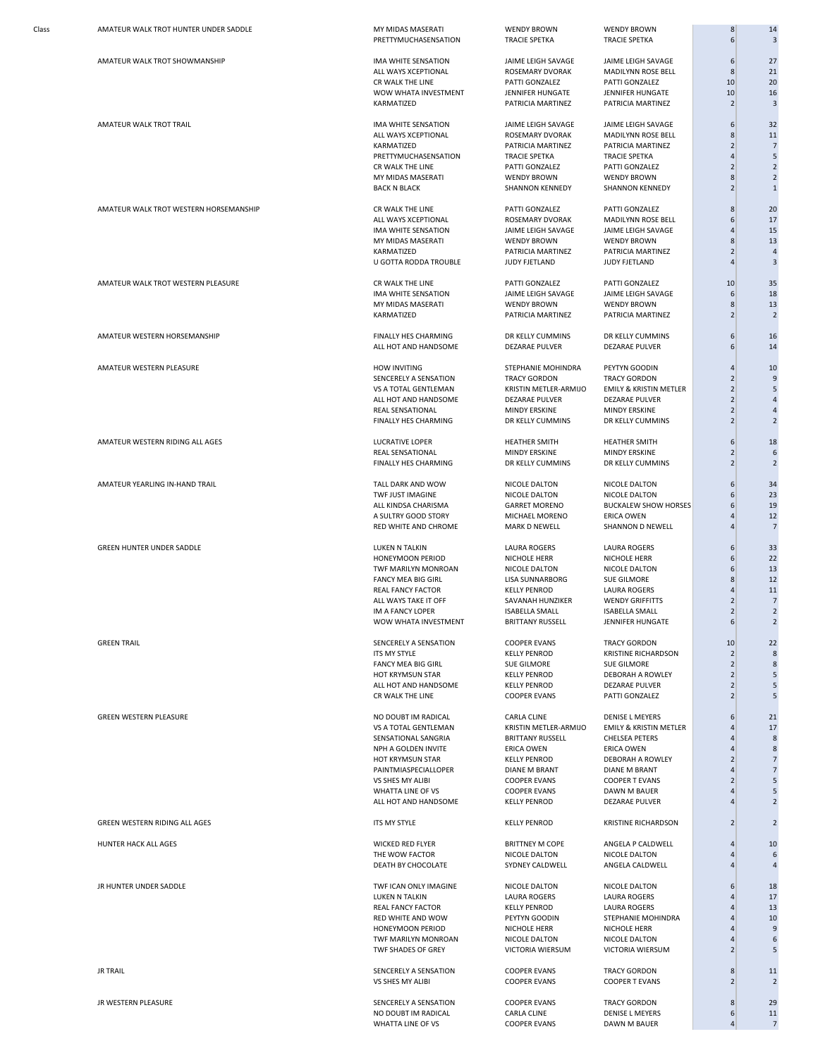| Class | AMATEUR WALK TROT HUNTER UNDER SADDLE  | <b>MY MIDAS MASERATI</b><br>PRETTYMUCHASENSATION      | <b>WENDY BROWN</b><br><b>TRACIE SPETKA</b>     | <b>WENDY BROWN</b><br><b>TRACIE SPETKA</b>                 | 8 <sup>2</sup> | 14<br>3              |
|-------|----------------------------------------|-------------------------------------------------------|------------------------------------------------|------------------------------------------------------------|----------------|----------------------|
|       | AMATEUR WALK TROT SHOWMANSHIP          | IMA WHITE SENSATION                                   |                                                |                                                            |                | 27                   |
|       |                                        | ALL WAYS XCEPTIONAL                                   | JAIME LEIGH SAVAGE<br><b>ROSEMARY DVORAK</b>   | JAIME LEIGH SAVAGE<br><b>MADILYNN ROSE BELL</b>            |                | 21                   |
|       |                                        | <b>CR WALK THE LINE</b>                               | PATTI GONZALEZ                                 | PATTI GONZALEZ                                             | 10             | 20                   |
|       |                                        | WOW WHATA INVESTMENT                                  | JENNIFER HUNGATE                               | JENNIFER HUNGATE                                           | 10             | 16                   |
|       |                                        | KARMATIZED                                            | PATRICIA MARTINEZ                              | PATRICIA MARTINEZ                                          |                | $\overline{3}$       |
|       | AMATEUR WALK TROT TRAIL                | IMA WHITE SENSATION                                   | JAIME LEIGH SAVAGE                             | JAIME LEIGH SAVAGE                                         |                | 32                   |
|       |                                        | ALL WAYS XCEPTIONAL                                   | <b>ROSEMARY DVORAK</b>                         | <b>MADILYNN ROSE BELL</b>                                  |                | 11                   |
|       |                                        | KARMATIZED                                            | PATRICIA MARTINEZ                              | PATRICIA MARTINEZ                                          |                | $\overline{7}$       |
|       |                                        | PRETTYMUCHASENSATION<br>CR WALK THE LINE              | <b>TRACIE SPETKA</b><br>PATTI GONZALEZ         | <b>TRACIE SPETKA</b><br>PATTI GONZALEZ                     |                | 5<br>$\overline{2}$  |
|       |                                        | <b>MY MIDAS MASERATI</b>                              | <b>WENDY BROWN</b>                             | <b>WENDY BROWN</b>                                         |                | $\overline{2}$       |
|       |                                        | <b>BACK N BLACK</b>                                   | <b>SHANNON KENNEDY</b>                         | <b>SHANNON KENNEDY</b>                                     |                | $\mathbf 1$          |
|       | AMATEUR WALK TROT WESTERN HORSEMANSHIP | CR WALK THE LINE                                      | PATTI GONZALEZ                                 | PATTI GONZALEZ                                             |                | 20                   |
|       |                                        | ALL WAYS XCEPTIONAL                                   | <b>ROSEMARY DVORAK</b>                         | <b>MADILYNN ROSE BELL</b>                                  |                | 17                   |
|       |                                        | IMA WHITE SENSATION                                   | JAIME LEIGH SAVAGE                             | JAIME LEIGH SAVAGE                                         |                | 15                   |
|       |                                        | MY MIDAS MASERATI<br>KARMATIZED                       | <b>WENDY BROWN</b><br>PATRICIA MARTINEZ        | <b>WENDY BROWN</b><br>PATRICIA MARTINEZ                    |                | 13<br>$\overline{a}$ |
|       |                                        | U GOTTA RODDA TROUBLE                                 | JUDY FJETLAND                                  | JUDY FJETLAND                                              |                | $\overline{3}$       |
|       | AMATEUR WALK TROT WESTERN PLEASURE     | CR WALK THE LINE                                      | PATTI GONZALEZ                                 | PATTI GONZALEZ                                             | 10             | 35                   |
|       |                                        | IMA WHITE SENSATION                                   | JAIME LEIGH SAVAGE                             | JAIME LEIGH SAVAGE                                         |                | 18                   |
|       |                                        | MY MIDAS MASERATI                                     | <b>WENDY BROWN</b>                             | <b>WENDY BROWN</b>                                         |                | 13                   |
|       |                                        | KARMATIZED                                            | PATRICIA MARTINEZ                              | PATRICIA MARTINEZ                                          |                | $\overline{2}$       |
|       | AMATEUR WESTERN HORSEMANSHIP           | FINALLY HES CHARMING                                  | DR KELLY CUMMINS                               | DR KELLY CUMMINS                                           |                | 16                   |
|       |                                        | ALL HOT AND HANDSOME                                  | <b>DEZARAE PULVER</b>                          | <b>DEZARAE PULVER</b>                                      |                | 14                   |
|       | AMATEUR WESTERN PLEASURE               | <b>HOW INVITING</b>                                   | STEPHANIE MOHINDRA                             | PEYTYN GOODIN                                              |                | 10                   |
|       |                                        | SENCERELY A SENSATION                                 | <b>TRACY GORDON</b>                            | <b>TRACY GORDON</b>                                        |                | $\mathsf{q}$         |
|       |                                        | VS A TOTAL GENTLEMAN<br>ALL HOT AND HANDSOME          | KRISTIN METLER-ARMIJO<br><b>DEZARAE PULVER</b> | <b>EMILY &amp; KRISTIN METLER</b><br><b>DEZARAE PULVER</b> | 2              | 5<br>$\overline{4}$  |
|       |                                        | REAL SENSATIONAL                                      | <b>MINDY ERSKINE</b>                           | <b>MINDY ERSKINE</b>                                       |                | 4                    |
|       |                                        | FINALLY HES CHARMING                                  | DR KELLY CUMMINS                               | DR KELLY CUMMINS                                           |                | $\overline{2}$       |
|       | AMATEUR WESTERN RIDING ALL AGES        | <b>LUCRATIVE LOPER</b>                                | <b>HEATHER SMITH</b>                           | <b>HEATHER SMITH</b>                                       | 6              | 18                   |
|       |                                        | REAL SENSATIONAL                                      | <b>MINDY ERSKINE</b>                           | <b>MINDY ERSKINE</b>                                       |                | $\boldsymbol{6}$     |
|       |                                        | FINALLY HES CHARMING                                  | DR KELLY CUMMINS                               | DR KELLY CUMMINS                                           |                | $\overline{2}$       |
|       | AMATEUR YEARLING IN-HAND TRAIL         | TALL DARK AND WOW                                     | NICOLE DALTON                                  | NICOLE DALTON                                              |                | 34                   |
|       |                                        | <b>TWF JUST IMAGINE</b>                               | NICOLE DALTON                                  | NICOLE DALTON                                              |                | 23                   |
|       |                                        | ALL KINDSA CHARISMA                                   | <b>GARRET MORENO</b>                           | <b>BUCKALEW SHOW HORSES</b>                                |                | 19                   |
|       |                                        | A SULTRY GOOD STORY                                   | MICHAEL MORENO                                 | ERICA OWEN                                                 |                | 12                   |
|       |                                        | RED WHITE AND CHROME                                  | <b>MARK D NEWELL</b>                           | <b>SHANNON D NEWELL</b>                                    |                | $\overline{7}$       |
|       | <b>GREEN HUNTER UNDER SADDLE</b>       | LUKEN N TALKIN                                        | LAURA ROGERS                                   | LAURA ROGERS                                               |                | 33                   |
|       |                                        | <b>HONEYMOON PERIOD</b>                               | NICHOLE HERR                                   | NICHOLE HERR                                               |                | 22                   |
|       |                                        | TWF MARILYN MONROAN                                   | NICOLE DALTON                                  | NICOLE DALTON                                              |                | 13                   |
|       |                                        | <b>FANCY MEA BIG GIRL</b><br><b>REAL FANCY FACTOR</b> | LISA SUNNARBORG<br><b>KELLY PENROD</b>         | <b>SUE GILMORE</b><br>LAURA ROGERS                         |                | 12<br>11             |
|       |                                        | ALL WAYS TAKE IT OFF                                  | SAVANAH HUNZIKER                               | <b>WENDY GRIFFITTS</b>                                     |                | $\overline{7}$       |
|       |                                        | IM A FANCY LOPER                                      | <b>ISABELLA SMALL</b>                          | <b>ISABELLA SMALL</b>                                      |                | $\overline{2}$       |
|       |                                        | WOW WHATA INVESTMENT                                  | <b>BRITTANY RUSSELL</b>                        | JENNIFER HUNGATE                                           |                | $\overline{2}$       |
|       | <b>GREEN TRAIL</b>                     | SENCERELY A SENSATION                                 | <b>COOPER EVANS</b>                            | <b>TRACY GORDON</b>                                        | 10             | $22$                 |
|       |                                        | ITS MY STYLE                                          | <b>KELLY PENROD</b>                            | <b>KRISTINE RICHARDSON</b>                                 |                | $\,8\,$              |
|       |                                        | <b>FANCY MEA BIG GIRL</b>                             | <b>SUE GILMORE</b>                             | <b>SUE GILMORE</b>                                         |                | $\,8\,$              |
|       |                                        | <b>HOT KRYMSUN STAR</b><br>ALL HOT AND HANDSOME       | <b>KELLY PENROD</b><br><b>KELLY PENROD</b>     | <b>DEBORAH A ROWLEY</b><br>DEZARAE PULVER                  |                | 5<br>5               |
|       |                                        | CR WALK THE LINE                                      | <b>COOPER EVANS</b>                            | PATTI GONZALEZ                                             |                | 5                    |
|       | <b>GREEN WESTERN PLEASURE</b>          | NO DOUBT IM RADICAL                                   | <b>CARLA CLINE</b>                             | <b>DENISE L MEYERS</b>                                     |                | 21                   |
|       |                                        | VS A TOTAL GENTLEMAN                                  | KRISTIN METLER-ARMIJO                          | <b>EMILY &amp; KRISTIN METLER</b>                          |                | 17                   |
|       |                                        | SENSATIONAL SANGRIA                                   | <b>BRITTANY RUSSELL</b>                        | <b>CHELSEA PETERS</b>                                      |                | 8                    |
|       |                                        | NPH A GOLDEN INVITE<br>HOT KRYMSUN STAR               | <b>ERICA OWEN</b><br><b>KELLY PENROD</b>       | <b>ERICA OWEN</b><br>DEBORAH A ROWLEY                      |                | 8<br>7               |
|       |                                        | PAINTMIASPECIALLOPER                                  | <b>DIANE M BRANT</b>                           | <b>DIANE M BRANT</b>                                       |                | $\overline{7}$       |
|       |                                        | <b>VS SHES MY ALIBI</b>                               | <b>COOPER EVANS</b>                            | <b>COOPER T EVANS</b>                                      |                | 5                    |
|       |                                        | WHATTA LINE OF VS<br>ALL HOT AND HANDSOME             | <b>COOPER EVANS</b>                            | DAWN M BAUER                                               |                | 5<br>$\overline{2}$  |
|       |                                        |                                                       | <b>KELLY PENROD</b>                            | DEZARAE PULVER                                             |                |                      |
|       | <b>GREEN WESTERN RIDING ALL AGES</b>   | ITS MY STYLE                                          | <b>KELLY PENROD</b>                            | <b>KRISTINE RICHARDSON</b>                                 |                | $\overline{2}$       |
|       | HUNTER HACK ALL AGES                   | <b>WICKED RED FLYER</b>                               | <b>BRITTNEY M COPE</b>                         | ANGELA P CALDWELL                                          |                | 10                   |
|       |                                        | THE WOW FACTOR                                        | NICOLE DALTON                                  | NICOLE DALTON                                              |                | 6                    |
|       |                                        | DEATH BY CHOCOLATE                                    | <b>SYDNEY CALDWELL</b>                         | ANGELA CALDWELL                                            |                | $\overline{4}$       |
|       | JR HUNTER UNDER SADDLE                 | TWF ICAN ONLY IMAGINE                                 | <b>NICOLE DALTON</b>                           | NICOLE DALTON                                              |                | 18                   |
|       |                                        | LUKEN N TALKIN                                        | LAURA ROGERS                                   | LAURA ROGERS                                               |                | 17<br>13             |
|       |                                        | REAL FANCY FACTOR<br><b>RED WHITE AND WOW</b>         | <b>KELLY PENROD</b><br>PEYTYN GOODIN           | LAURA ROGERS<br>STEPHANIE MOHINDRA                         |                | $10\,$               |
|       |                                        | <b>HONEYMOON PERIOD</b>                               | NICHOLE HERR                                   | NICHOLE HERR                                               |                | $\boldsymbol{9}$     |
|       |                                        | TWF MARILYN MONROAN                                   | NICOLE DALTON                                  | NICOLE DALTON                                              |                | $\boldsymbol{6}$     |
|       |                                        | TWF SHADES OF GREY                                    | VICTORIA WIERSUM                               | VICTORIA WIERSUM                                           |                | 5                    |
|       | <b>JR TRAIL</b>                        | SENCERELY A SENSATION                                 | <b>COOPER EVANS</b>                            | <b>TRACY GORDON</b>                                        |                | 11                   |
|       |                                        | VS SHES MY ALIBI                                      | <b>COOPER EVANS</b>                            | <b>COOPER T EVANS</b>                                      |                | $\overline{2}$       |
|       | JR WESTERN PLEASURE                    | SENCERELY A SENSATION                                 | <b>COOPER EVANS</b>                            | <b>TRACY GORDON</b>                                        |                | 29                   |
|       |                                        | NO DOUBT IM RADICAL                                   | CARLA CLINE                                    | <b>DENISE L MEYERS</b>                                     |                | 11                   |
|       |                                        | WHATTA LINE OF VS                                     | <b>COOPER EVANS</b>                            | DAWN M BAUER                                               |                | $\overline{7}$       |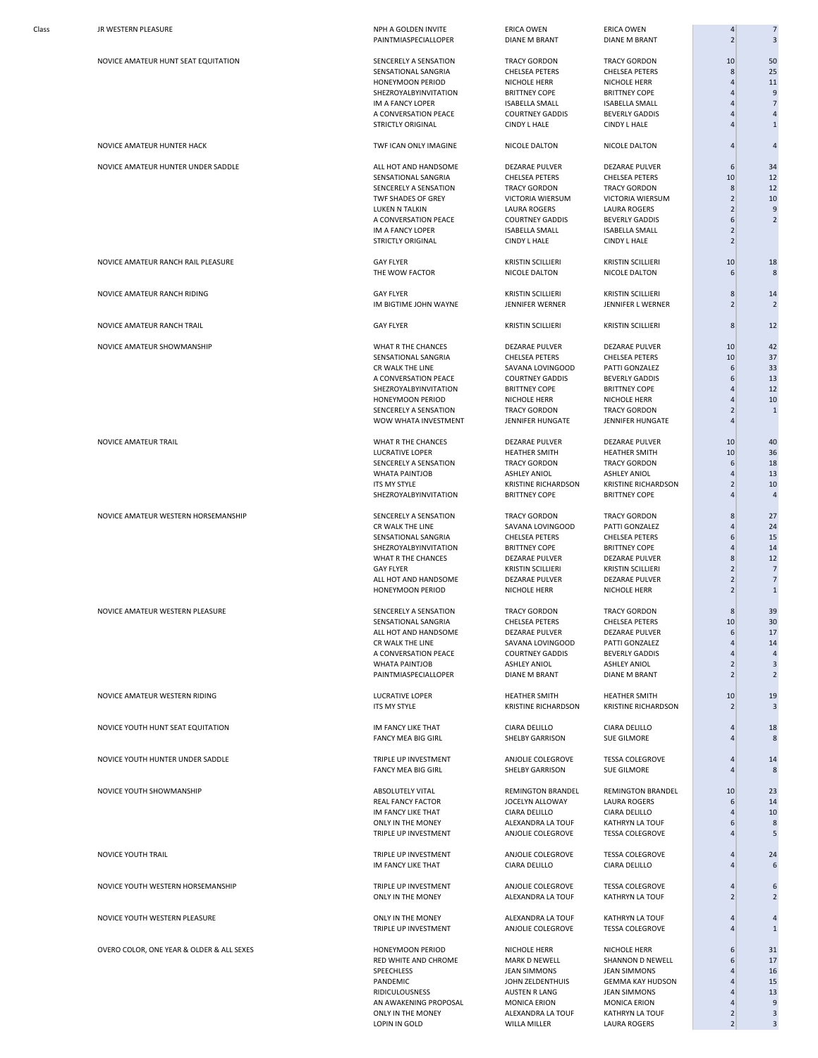| Class | JR WESTERN PLEASURE                       | NPH A GOLDEN INVITE                               | <b>ERICA OWEN</b>                             | <b>ERICA OWEN</b>                            |                 | $\overline{7}$              |
|-------|-------------------------------------------|---------------------------------------------------|-----------------------------------------------|----------------------------------------------|-----------------|-----------------------------|
|       |                                           | PAINTMIASPECIALLOPER                              | <b>DIANE M BRANT</b>                          | <b>DIANE M BRANT</b>                         |                 | $\overline{3}$              |
|       |                                           |                                                   |                                               |                                              |                 |                             |
|       | NOVICE AMATEUR HUNT SEAT EQUITATION       | SENCERELY A SENSATION                             | <b>TRACY GORDON</b>                           | <b>TRACY GORDON</b>                          | 10              | 50                          |
|       |                                           | SENSATIONAL SANGRIA                               | <b>CHELSEA PETERS</b>                         | <b>CHELSEA PETERS</b>                        |                 | 25                          |
|       |                                           | <b>HONEYMOON PERIOD</b>                           | NICHOLE HERR                                  | NICHOLE HERR                                 |                 | 11                          |
|       |                                           | SHEZROYALBYINVITATION                             | <b>BRITTNEY COPE</b>                          | <b>BRITTNEY COPE</b>                         |                 | 9                           |
|       |                                           | IM A FANCY LOPER                                  | <b>ISABELLA SMALL</b>                         | <b>ISABELLA SMALL</b>                        |                 | $\overline{7}$              |
|       |                                           | A CONVERSATION PEACE                              | <b>COURTNEY GADDIS</b>                        |                                              |                 | $\overline{4}$              |
|       |                                           |                                                   |                                               | <b>BEVERLY GADDIS</b>                        |                 |                             |
|       |                                           | <b>STRICTLY ORIGINAL</b>                          | CINDY L HALE                                  | <b>CINDY L HALE</b>                          |                 |                             |
|       | NOVICE AMATEUR HUNTER HACK                | TWF ICAN ONLY IMAGINE                             | <b>NICOLE DALTON</b>                          | NICOLE DALTON                                |                 |                             |
|       | NOVICE AMATEUR HUNTER UNDER SADDLE        | ALL HOT AND HANDSOME                              | DEZARAE PULVER                                | DEZARAE PULVER                               |                 | 34                          |
|       |                                           | SENSATIONAL SANGRIA                               | <b>CHELSEA PETERS</b>                         | <b>CHELSEA PETERS</b>                        |                 | 12                          |
|       |                                           |                                                   |                                               |                                              | 10              |                             |
|       |                                           | SENCERELY A SENSATION                             | <b>TRACY GORDON</b>                           | <b>TRACY GORDON</b>                          |                 | 12                          |
|       |                                           | <b>TWF SHADES OF GREY</b>                         | VICTORIA WIERSUM                              | VICTORIA WIERSUM                             |                 | 10                          |
|       |                                           | LUKEN N TALKIN                                    | <b>LAURA ROGERS</b>                           | <b>LAURA ROGERS</b>                          |                 | 9                           |
|       |                                           | A CONVERSATION PEACE                              | <b>COURTNEY GADDIS</b>                        | <b>BEVERLY GADDIS</b>                        |                 | $\overline{2}$              |
|       |                                           | IM A FANCY LOPER                                  | <b>ISABELLA SMALL</b>                         | <b>ISABELLA SMALL</b>                        |                 |                             |
|       |                                           | <b>STRICTLY ORIGINAL</b>                          | <b>CINDY L HALE</b>                           | <b>CINDY L HALE</b>                          |                 |                             |
|       | NOVICE AMATEUR RANCH RAIL PLEASURE        | <b>GAY FLYER</b>                                  | <b>KRISTIN SCILLIERI</b>                      | <b>KRISTIN SCILLIERI</b>                     | 10              | 18                          |
|       |                                           | THE WOW FACTOR                                    | NICOLE DALTON                                 | NICOLE DALTON                                |                 | 8                           |
|       |                                           |                                                   |                                               |                                              |                 |                             |
|       | NOVICE AMATEUR RANCH RIDING               | <b>GAY FLYER</b>                                  | <b>KRISTIN SCILLIERI</b>                      | <b>KRISTIN SCILLIERI</b>                     |                 | 14                          |
|       |                                           | IM BIGTIME JOHN WAYNE                             | <b>JENNIFER WERNER</b>                        | JENNIFER L WERNER                            |                 | $\overline{2}$              |
|       | NOVICE AMATEUR RANCH TRAIL                | <b>GAY FLYER</b>                                  | <b>KRISTIN SCILLIERI</b>                      | <b>KRISTIN SCILLIERI</b>                     |                 | 12                          |
|       | NOVICE AMATEUR SHOWMANSHIP                | WHAT R THE CHANCES                                | <b>DEZARAE PULVER</b>                         | <b>DEZARAE PULVER</b>                        | 10              | 42                          |
|       |                                           | SENSATIONAL SANGRIA                               | <b>CHELSEA PETERS</b>                         | <b>CHELSEA PETERS</b>                        | 10              | 37                          |
|       |                                           | CR WALK THE LINE                                  | SAVANA LOVINGOOD                              | PATTI GONZALEZ                               |                 | 33                          |
|       |                                           | A CONVERSATION PEACE                              | <b>COURTNEY GADDIS</b>                        | <b>BEVERLY GADDIS</b>                        |                 | 13                          |
|       |                                           | SHEZROYALBYINVITATION                             | <b>BRITTNEY COPE</b>                          | <b>BRITTNEY COPE</b>                         |                 | 12                          |
|       |                                           |                                                   |                                               |                                              |                 |                             |
|       |                                           | <b>HONEYMOON PERIOD</b>                           | NICHOLE HERR                                  | NICHOLE HERR                                 |                 | 10                          |
|       |                                           | SENCERELY A SENSATION                             | <b>TRACY GORDON</b>                           | <b>TRACY GORDON</b>                          |                 | 1                           |
|       |                                           | WOW WHATA INVESTMENT                              | JENNIFER HUNGATE                              | JENNIFER HUNGATE                             |                 |                             |
|       | <b>NOVICE AMATEUR TRAIL</b>               | WHAT R THE CHANCES                                | <b>DEZARAE PULVER</b>                         | <b>DEZARAE PULVER</b>                        | 10 <sup>°</sup> | 40                          |
|       |                                           | <b>LUCRATIVE LOPER</b>                            | <b>HEATHER SMITH</b>                          | <b>HEATHER SMITH</b>                         | 10              | 36                          |
|       |                                           | SENCERELY A SENSATION                             | <b>TRACY GORDON</b>                           | <b>TRACY GORDON</b>                          |                 | 18                          |
|       |                                           |                                                   |                                               |                                              |                 |                             |
|       |                                           | <b>WHATA PAINTJOB</b>                             | <b>ASHLEY ANIOL</b>                           | <b>ASHLEY ANIOL</b>                          |                 | 13                          |
|       |                                           | ITS MY STYLE                                      | <b>KRISTINE RICHARDSON</b>                    | <b>KRISTINE RICHARDSON</b>                   |                 | 10                          |
|       |                                           | SHEZROYALBYINVITATION                             | <b>BRITTNEY COPE</b>                          | <b>BRITTNEY COPE</b>                         |                 |                             |
|       | NOVICE AMATEUR WESTERN HORSEMANSHIP       | SENCERELY A SENSATION                             | <b>TRACY GORDON</b>                           | <b>TRACY GORDON</b>                          |                 | 27                          |
|       |                                           | CR WALK THE LINE                                  | SAVANA LOVINGOOD                              | PATTI GONZALEZ                               |                 | 24                          |
|       |                                           |                                                   |                                               |                                              |                 |                             |
|       |                                           | SENSATIONAL SANGRIA                               | <b>CHELSEA PETERS</b>                         | <b>CHELSEA PETERS</b>                        |                 | 15                          |
|       |                                           | SHEZROYALBYINVITATION                             | <b>BRITTNEY COPE</b>                          | <b>BRITTNEY COPE</b>                         |                 | $14\,$                      |
|       |                                           | WHAT R THE CHANCES                                | DEZARAE PULVER                                | DEZARAE PULVER                               |                 | 12                          |
|       |                                           | <b>GAY FLYER</b>                                  | <b>KRISTIN SCILLIERI</b>                      | <b>KRISTIN SCILLIERI</b>                     |                 | $\overline{7}$              |
|       |                                           | ALL HOT AND HANDSOME                              | DEZARAE PULVER                                | DEZARAE PULVER                               |                 | $\overline{7}$              |
|       |                                           | HONEYMOON PERIOD                                  | NICHOLE HERR                                  | NICHOLE HERR                                 |                 | $\mathbf{1}$                |
|       | NOVICE AMATEUR WESTERN PLEASURE           | SENCERELY A SENSATION                             | <b>TRACY GORDON</b>                           | <b>TRACY GORDON</b>                          |                 | 39                          |
|       |                                           | SENSATIONAL SANGRIA                               | <b>CHELSEA PETERS</b>                         | <b>CHELSEA PETERS</b>                        | 10              | 30 <sup>°</sup>             |
|       |                                           | ALL HOT AND HANDSOME                              | DEZARAE PULVER                                | <b>DEZARAE PULVER</b>                        |                 | 17                          |
|       |                                           | CR WALK THE LINE                                  | SAVANA LOVINGOOD                              | PATTI GONZALEZ                               |                 | 14                          |
|       |                                           | A CONVERSATION PEACE                              | <b>COURTNEY GADDIS</b>                        | <b>BEVERLY GADDIS</b>                        |                 | $\overline{a}$              |
|       |                                           | <b>WHATA PAINTJOB</b>                             | <b>ASHLEY ANIOL</b>                           | <b>ASHLEY ANIOL</b>                          |                 |                             |
|       |                                           | PAINTMIASPECIALLOPER                              | <b>DIANE M BRANT</b>                          | <b>DIANE M BRANT</b>                         | 2               | $\mathbf{3}$<br>$2^{\circ}$ |
|       |                                           |                                                   |                                               |                                              |                 |                             |
|       | NOVICE AMATEUR WESTERN RIDING             | LUCRATIVE LOPER                                   | <b>HEATHER SMITH</b>                          | <b>HEATHER SMITH</b>                         | 10              | 19                          |
|       |                                           | ITS MY STYLE                                      | <b>KRISTINE RICHARDSON</b>                    | <b>KRISTINE RICHARDSON</b>                   |                 | $\overline{3}$              |
|       | NOVICE YOUTH HUNT SEAT EQUITATION         | IM FANCY LIKE THAT                                | <b>CIARA DELILLO</b>                          | CIARA DELILLO                                |                 | 18                          |
|       |                                           | <b>FANCY MEA BIG GIRL</b>                         | <b>SHELBY GARRISON</b>                        | <b>SUE GILMORE</b>                           |                 | 8                           |
|       |                                           |                                                   |                                               |                                              |                 |                             |
|       | NOVICE YOUTH HUNTER UNDER SADDLE          | TRIPLE UP INVESTMENT<br><b>FANCY MEA BIG GIRL</b> | ANJOLIE COLEGROVE<br><b>SHELBY GARRISON</b>   | <b>TESSA COLEGROVE</b><br><b>SUE GILMORE</b> |                 | 14<br>8                     |
|       |                                           |                                                   |                                               |                                              |                 |                             |
|       | NOVICE YOUTH SHOWMANSHIP                  | <b>ABSOLUTELY VITAL</b>                           | <b>REMINGTON BRANDEL</b>                      | <b>REMINGTON BRANDEL</b>                     | 10              | 23                          |
|       |                                           | <b>REAL FANCY FACTOR</b>                          | JOCELYN ALLOWAY                               | LAURA ROGERS                                 |                 | 14                          |
|       |                                           | IM FANCY LIKE THAT                                | <b>CIARA DELILLO</b>                          | CIARA DELILLO                                |                 | 10                          |
|       |                                           | ONLY IN THE MONEY                                 | ALEXANDRA LA TOUF                             | <b>KATHRYN LA TOUF</b>                       |                 | $\bf 8$                     |
|       |                                           | TRIPLE UP INVESTMENT                              | ANJOLIE COLEGROVE                             | <b>TESSA COLEGROVE</b>                       |                 | 5 <sub>5</sub>              |
|       |                                           |                                                   |                                               |                                              |                 |                             |
|       | NOVICE YOUTH TRAIL                        | TRIPLE UP INVESTMENT                              | ANJOLIE COLEGROVE                             | <b>TESSA COLEGROVE</b>                       |                 | 24                          |
|       |                                           | IM FANCY LIKE THAT                                | CIARA DELILLO                                 | CIARA DELILLO                                |                 | 6                           |
|       | NOVICE YOUTH WESTERN HORSEMANSHIP         | TRIPLE UP INVESTMENT                              | <b>ANJOLIE COLEGROVE</b>                      | <b>TESSA COLEGROVE</b>                       |                 | 6                           |
|       |                                           | ONLY IN THE MONEY                                 | ALEXANDRA LA TOUF                             | <b>KATHRYN LA TOUF</b>                       |                 | $\overline{2}$              |
|       |                                           |                                                   |                                               |                                              |                 |                             |
|       | NOVICE YOUTH WESTERN PLEASURE             | <b>ONLY IN THE MONEY</b><br>TRIPLE UP INVESTMENT  | ALEXANDRA LA TOUF<br><b>ANJOLIE COLEGROVE</b> | KATHRYN LA TOUF<br><b>TESSA COLEGROVE</b>    |                 | 1                           |
|       |                                           |                                                   |                                               |                                              |                 |                             |
|       | OVERO COLOR, ONE YEAR & OLDER & ALL SEXES | <b>HONEYMOON PERIOD</b>                           | NICHOLE HERR                                  | NICHOLE HERR                                 |                 | 31                          |
|       |                                           | RED WHITE AND CHROME                              | <b>MARK D NEWELL</b>                          | <b>SHANNON D NEWELL</b>                      |                 | 17                          |
|       |                                           | SPEECHLESS                                        | <b>JEAN SIMMONS</b>                           | <b>JEAN SIMMONS</b>                          |                 | 16                          |
|       |                                           | PANDEMIC                                          | JOHN ZELDENTHUIS                              | <b>GEMMA KAY HUDSON</b>                      |                 | 15                          |
|       |                                           | <b>RIDICULOUSNESS</b>                             | <b>AUSTEN R LANG</b>                          | JEAN SIMMONS                                 |                 | 13                          |
|       |                                           | AN AWAKENING PROPOSAL                             | <b>MONICA ERION</b>                           | <b>MONICA ERION</b>                          |                 | $9\,$                       |
|       |                                           | ONLY IN THE MONEY                                 | ALEXANDRA LA TOUF                             | KATHRYN LA TOUF                              |                 | $\overline{\mathbf{3}}$     |
|       |                                           | LOPIN IN GOLD                                     | <b>WILLA MILLER</b>                           | <b>LAURA ROGERS</b>                          |                 | $\overline{\mathbf{3}}$     |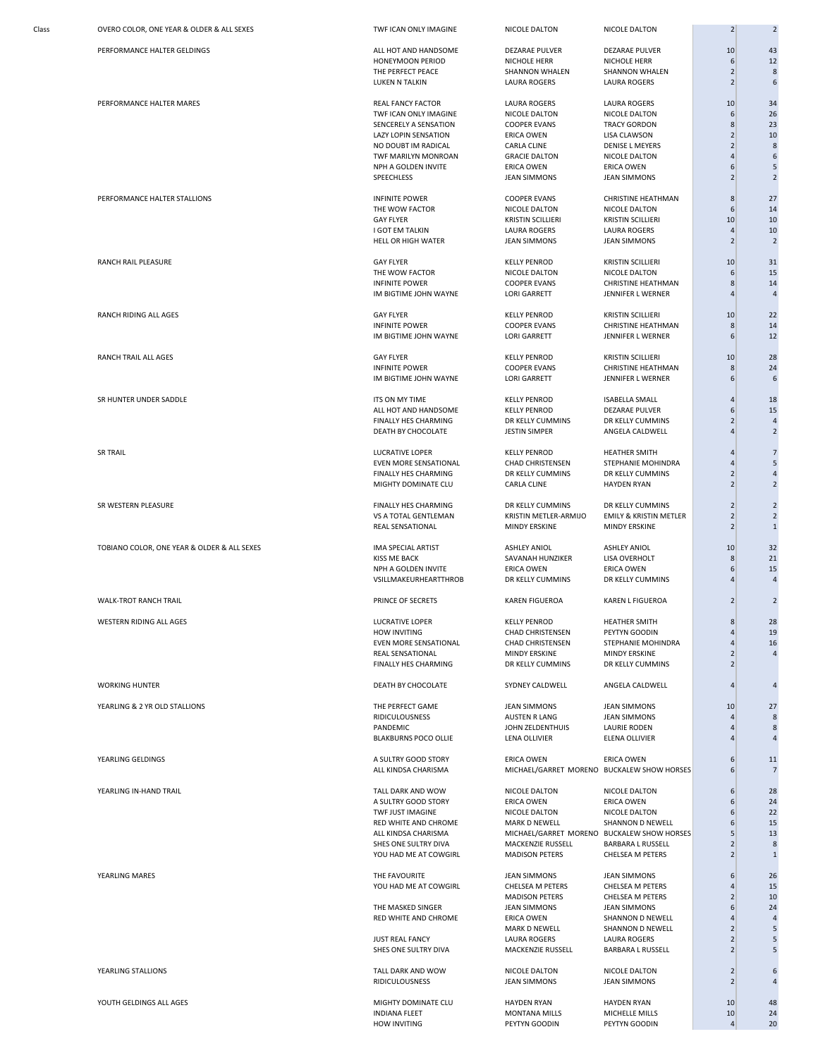| Class | OVERO COLOR, ONE YEAR & OLDER & ALL SEXES   | TWF ICAN ONLY IMAGINE                                                                                                                                                                        | NICOLE DALTON                                                                                                                                                              | NICOLE DALTON                                                                                                                                               | $\overline{2}$      | $\overline{2}$                                          |
|-------|---------------------------------------------|----------------------------------------------------------------------------------------------------------------------------------------------------------------------------------------------|----------------------------------------------------------------------------------------------------------------------------------------------------------------------------|-------------------------------------------------------------------------------------------------------------------------------------------------------------|---------------------|---------------------------------------------------------|
|       | PERFORMANCE HALTER GELDINGS                 | ALL HOT AND HANDSOME<br><b>HONEYMOON PERIOD</b><br>THE PERFECT PEACE<br><b>LUKEN N TALKIN</b>                                                                                                | DEZARAE PULVER<br>NICHOLE HERR<br><b>SHANNON WHALEN</b><br><b>LAURA ROGERS</b>                                                                                             | DEZARAE PULVER<br>NICHOLE HERR<br><b>SHANNON WHALEN</b><br><b>LAURA ROGERS</b>                                                                              | 10                  | 43<br>12<br>$\bf 8$<br>6                                |
|       | PERFORMANCE HALTER MARES                    | <b>REAL FANCY FACTOR</b><br>TWF ICAN ONLY IMAGINE<br>SENCERELY A SENSATION<br>LAZY LOPIN SENSATION<br>NO DOUBT IM RADICAL<br>TWF MARILYN MONROAN<br>NPH A GOLDEN INVITE<br><b>SPEECHLESS</b> | LAURA ROGERS<br><b>NICOLE DALTON</b><br><b>COOPER EVANS</b><br><b>ERICA OWEN</b><br><b>CARLA CLINE</b><br><b>GRACIE DALTON</b><br><b>ERICA OWEN</b><br><b>JEAN SIMMONS</b> | LAURA ROGERS<br>NICOLE DALTON<br><b>TRACY GORDON</b><br>LISA CLAWSON<br><b>DENISE L MEYERS</b><br>NICOLE DALTON<br><b>ERICA OWEN</b><br><b>JEAN SIMMONS</b> | 10                  | 34<br>26<br>23<br>10<br>8<br>6<br>5<br>$\overline{2}$   |
|       | PERFORMANCE HALTER STALLIONS                | <b>INFINITE POWER</b><br>THE WOW FACTOR<br><b>GAY FLYER</b><br>I GOT EM TALKIN<br><b>HELL OR HIGH WATER</b>                                                                                  | <b>COOPER EVANS</b><br>NICOLE DALTON<br><b>KRISTIN SCILLIERI</b><br>LAURA ROGERS<br><b>JEAN SIMMONS</b>                                                                    | <b>CHRISTINE HEATHMAN</b><br>NICOLE DALTON<br><b>KRISTIN SCILLIERI</b><br><b>LAURA ROGERS</b><br><b>JEAN SIMMONS</b>                                        | 8<br>10             | 27<br>14<br>10<br>10<br>$\overline{2}$                  |
|       | RANCH RAIL PLEASURE                         | <b>GAY FLYER</b><br>THE WOW FACTOR<br><b>INFINITE POWER</b><br>IM BIGTIME JOHN WAYNE                                                                                                         | <b>KELLY PENROD</b><br>NICOLE DALTON<br><b>COOPER EVANS</b><br><b>LORI GARRETT</b>                                                                                         | <b>KRISTIN SCILLIERI</b><br>NICOLE DALTON<br><b>CHRISTINE HEATHMAN</b><br>JENNIFER L WERNER                                                                 | 10                  | 31<br>15<br>14<br>$\overline{4}$                        |
|       | RANCH RIDING ALL AGES                       | <b>GAY FLYER</b><br><b>INFINITE POWER</b><br>IM BIGTIME JOHN WAYNE                                                                                                                           | <b>KELLY PENROD</b><br><b>COOPER EVANS</b><br><b>LORI GARRETT</b>                                                                                                          | <b>KRISTIN SCILLIERI</b><br><b>CHRISTINE HEATHMAN</b><br>JENNIFER L WERNER                                                                                  | 10                  | 22<br>14<br>12                                          |
|       | <b>RANCH TRAIL ALL AGES</b>                 | <b>GAY FLYER</b><br><b>INFINITE POWER</b><br>IM BIGTIME JOHN WAYNE                                                                                                                           | <b>KELLY PENROD</b><br><b>COOPER EVANS</b><br><b>LORI GARRETT</b>                                                                                                          | <b>KRISTIN SCILLIERI</b><br><b>CHRISTINE HEATHMAN</b><br>JENNIFER L WERNER                                                                                  | 10                  | 28<br>24<br>6                                           |
|       | SR HUNTER UNDER SADDLE                      | ITS ON MY TIME<br>ALL HOT AND HANDSOME<br>FINALLY HES CHARMING<br>DEATH BY CHOCOLATE                                                                                                         | <b>KELLY PENROD</b><br><b>KELLY PENROD</b><br>DR KELLY CUMMINS<br><b>JESTIN SIMPER</b>                                                                                     | <b>ISABELLA SMALL</b><br><b>DEZARAE PULVER</b><br>DR KELLY CUMMINS<br>ANGELA CALDWELL                                                                       |                     | 18<br>15<br>$\overline{4}$<br>$\overline{2}$            |
|       | <b>SR TRAIL</b>                             | <b>LUCRATIVE LOPER</b><br>EVEN MORE SENSATIONAL<br>FINALLY HES CHARMING<br>MIGHTY DOMINATE CLU                                                                                               | <b>KELLY PENROD</b><br><b>CHAD CHRISTENSEN</b><br>DR KELLY CUMMINS<br><b>CARLA CLINE</b>                                                                                   | <b>HEATHER SMITH</b><br>STEPHANIE MOHINDRA<br>DR KELLY CUMMINS<br><b>HAYDEN RYAN</b>                                                                        |                     | $\overline{7}$<br>5<br>$\overline{a}$<br>$\overline{2}$ |
|       | SR WESTERN PLEASURE                         | FINALLY HES CHARMING<br>VS A TOTAL GENTLEMAN<br>REAL SENSATIONAL                                                                                                                             | DR KELLY CUMMINS<br>KRISTIN METLER-ARMIJO<br>MINDY ERSKINE                                                                                                                 | DR KELLY CUMMINS<br><b>EMILY &amp; KRISTIN METLER</b><br><b>MINDY ERSKINE</b>                                                                               |                     | $\overline{2}$<br>$\overline{2}$<br>$\mathbf{1}$        |
|       | TOBIANO COLOR, ONE YEAR & OLDER & ALL SEXES | <b>IMA SPECIAL ARTIST</b><br><b>KISS ME BACK</b><br>NPH A GOLDEN INVITE<br>VSILLMAKEURHEARTTHROB                                                                                             | <b>ASHLEY ANIOL</b><br>SAVANAH HUNZIKER<br><b>ERICA OWEN</b><br>DR KELLY CUMMINS                                                                                           | <b>ASHLEY ANIOL</b><br>LISA OVERHOLT<br><b>ERICA OWEN</b><br>DR KELLY CUMMINS                                                                               | 10                  | 32<br>21<br>15<br>$\overline{4}$                        |
|       | <b>WALK-TROT RANCH TRAIL</b>                | PRINCE OF SECRETS                                                                                                                                                                            | <b>KAREN FIGUEROA</b>                                                                                                                                                      | <b>KAREN L FIGUEROA</b>                                                                                                                                     |                     | $\overline{2}$                                          |
|       | WESTERN RIDING ALL AGES                     | <b>LUCRATIVE LOPER</b><br><b>HOW INVITING</b><br><b>EVEN MORE SENSATIONAL</b><br><b>REAL SENSATIONAL</b><br>FINALLY HES CHARMING                                                             | <b>KELLY PENROD</b><br><b>CHAD CHRISTENSEN</b><br><b>CHAD CHRISTENSEN</b><br><b>MINDY ERSKINE</b><br>DR KELLY CUMMINS                                                      | <b>HEATHER SMITH</b><br>PEYTYN GOODIN<br>STEPHANIE MOHINDRA<br><b>MINDY ERSKINE</b><br>DR KELLY CUMMINS                                                     |                     | 28<br>19<br>16<br>4                                     |
|       | <b>WORKING HUNTER</b>                       | DEATH BY CHOCOLATE                                                                                                                                                                           | <b>SYDNEY CALDWELL</b>                                                                                                                                                     | ANGELA CALDWELL                                                                                                                                             |                     |                                                         |
|       | YEARLING & 2 YR OLD STALLIONS               | THE PERFECT GAME<br><b>RIDICULOUSNESS</b><br>PANDEMIC<br><b>BLAKBURNS POCO OLLIE</b>                                                                                                         | <b>JEAN SIMMONS</b><br><b>AUSTEN R LANG</b><br>JOHN ZELDENTHUIS<br>LENA OLLIVIER                                                                                           | <b>JEAN SIMMONS</b><br><b>JEAN SIMMONS</b><br><b>LAURIE RODEN</b><br>ELENA OLLIVIER                                                                         | 10 <sup>1</sup>     | 27<br>8<br>$\bf 8$<br>4                                 |
|       | YEARLING GELDINGS                           | A SULTRY GOOD STORY<br>ALL KINDSA CHARISMA                                                                                                                                                   | <b>ERICA OWEN</b><br>MICHAEL/GARRET MORENO BUCKALEW SHOW HORSES                                                                                                            | <b>ERICA OWEN</b>                                                                                                                                           | $6 \mid$<br>6       | 11<br>$\overline{7}$                                    |
|       | YEARLING IN-HAND TRAIL                      | TALL DARK AND WOW<br>A SULTRY GOOD STORY<br>TWF JUST IMAGINE<br>RED WHITE AND CHROME<br>ALL KINDSA CHARISMA<br>SHES ONE SULTRY DIVA<br>YOU HAD ME AT COWGIRL                                 | NICOLE DALTON<br>ERICA OWEN<br>NICOLE DALTON<br><b>MARK D NEWELL</b><br>MICHAEL/GARRET MORENO BUCKALEW SHOW HORSES<br><b>MACKENZIE RUSSELL</b><br><b>MADISON PETERS</b>    | NICOLE DALTON<br><b>ERICA OWEN</b><br>NICOLE DALTON<br><b>SHANNON D NEWELL</b><br><b>BARBARA L RUSSELL</b><br>CHELSEA M PETERS                              | 6<br>6<br>6         | 28<br>24<br>22<br>15<br>13<br>$\,8\,$<br>$\mathbf{1}$   |
|       | YEARLING MARES                              | THE FAVOURITE<br>YOU HAD ME AT COWGIRL<br>THE MASKED SINGER<br>RED WHITE AND CHROME                                                                                                          | <b>JEAN SIMMONS</b><br><b>CHELSEA M PETERS</b><br><b>MADISON PETERS</b><br><b>JEAN SIMMONS</b><br><b>ERICA OWEN</b><br><b>MARK D NEWELL</b>                                | <b>JEAN SIMMONS</b><br>CHELSEA M PETERS<br>CHELSEA M PETERS<br><b>JEAN SIMMONS</b><br><b>SHANNON D NEWELL</b><br><b>SHANNON D NEWELL</b>                    | 6                   | 26<br>15<br>$10\,$<br>24<br>$\overline{a}$<br>5         |
|       |                                             | <b>JUST REAL FANCY</b><br>SHES ONE SULTRY DIVA                                                                                                                                               | LAURA ROGERS<br><b>MACKENZIE RUSSELL</b>                                                                                                                                   | LAURA ROGERS<br><b>BARBARA L RUSSELL</b>                                                                                                                    |                     | 5<br>5                                                  |
|       | YEARLING STALLIONS                          | TALL DARK AND WOW<br><b>RIDICULOUSNESS</b>                                                                                                                                                   | <b>NICOLE DALTON</b><br><b>JEAN SIMMONS</b>                                                                                                                                | NICOLE DALTON<br><b>JEAN SIMMONS</b>                                                                                                                        | 2<br>$\overline{2}$ | 6<br>4                                                  |
|       | YOUTH GELDINGS ALL AGES                     | MIGHTY DOMINATE CLU<br><b>INDIANA FLEET</b><br><b>HOW INVITING</b>                                                                                                                           | <b>HAYDEN RYAN</b><br><b>MONTANA MILLS</b><br>PEYTYN GOODIN                                                                                                                | <b>HAYDEN RYAN</b><br>MICHELLE MILLS<br>PEYTYN GOODIN                                                                                                       | 10<br>10<br>4       | 48<br>24<br>20                                          |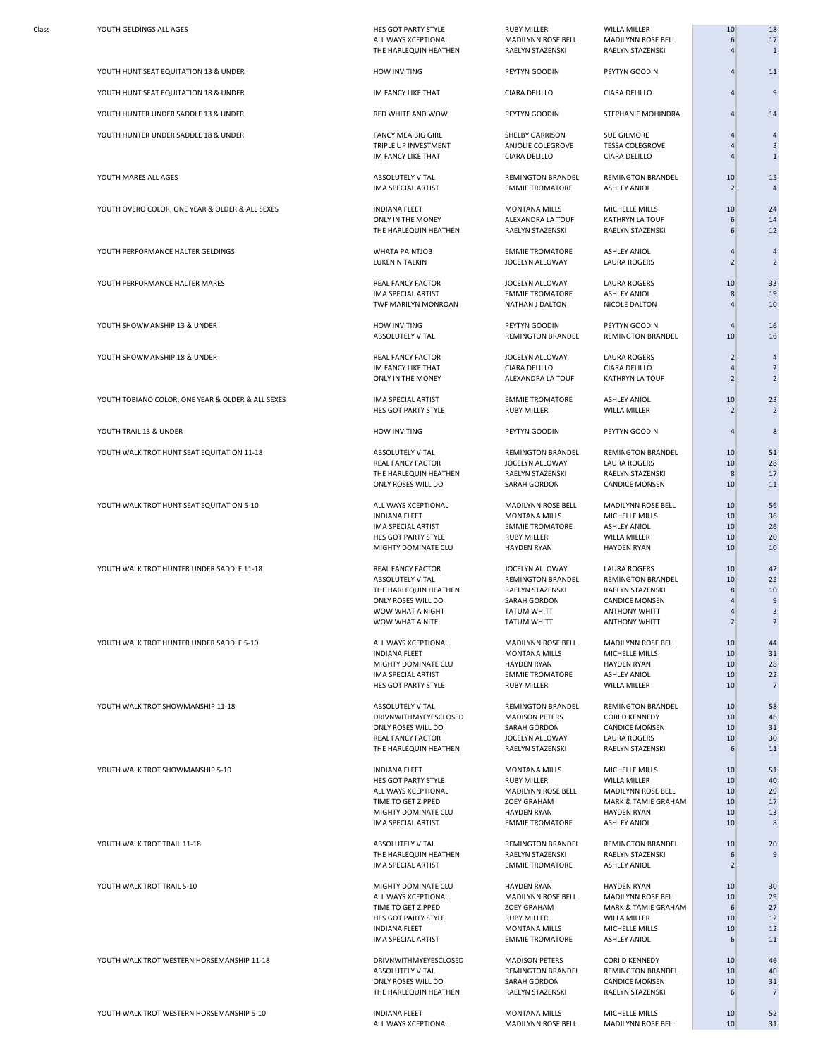| Class | YOUTH GELDINGS ALL AGES                           | <b>HES GOT PARTY STYLE</b><br>ALL WAYS XCEPTIONAL<br>THE HARLEQUIN HEATHEN                                                                          | <b>RUBY MILLER</b><br><b>MADILYNN ROSE BELL</b><br>RAELYN STAZENSKI                                                                           | WILLA MILLER<br><b>MADILYNN ROSE BELL</b><br>RAELYN STAZENSKI                                                                                     | 10                                            | 18<br>17<br>$\mathbf{1}$                                |
|-------|---------------------------------------------------|-----------------------------------------------------------------------------------------------------------------------------------------------------|-----------------------------------------------------------------------------------------------------------------------------------------------|---------------------------------------------------------------------------------------------------------------------------------------------------|-----------------------------------------------|---------------------------------------------------------|
|       | YOUTH HUNT SEAT EQUITATION 13 & UNDER             | <b>HOW INVITING</b>                                                                                                                                 | PEYTYN GOODIN                                                                                                                                 | PEYTYN GOODIN                                                                                                                                     |                                               | 11                                                      |
|       | YOUTH HUNT SEAT EQUITATION 18 & UNDER             | IM FANCY LIKE THAT                                                                                                                                  | CIARA DELILLO                                                                                                                                 | <b>CIARA DELILLO</b>                                                                                                                              |                                               | 9                                                       |
|       | YOUTH HUNTER UNDER SADDLE 13 & UNDER              | RED WHITE AND WOW                                                                                                                                   | PEYTYN GOODIN                                                                                                                                 | STEPHANIE MOHINDRA                                                                                                                                |                                               | 14                                                      |
|       | YOUTH HUNTER UNDER SADDLE 18 & UNDER              | <b>FANCY MEA BIG GIRL</b><br>TRIPLE UP INVESTMENT<br>IM FANCY LIKE THAT                                                                             | <b>SHELBY GARRISON</b><br><b>ANJOLIE COLEGROVE</b><br>CIARA DELILLO                                                                           | <b>SUE GILMORE</b><br><b>TESSA COLEGROVE</b><br><b>CIARA DELILLO</b>                                                                              |                                               | $\overline{a}$<br>$\overline{3}$<br>$\mathbf{1}$        |
|       | YOUTH MARES ALL AGES                              | <b>ABSOLUTELY VITAL</b><br><b>IMA SPECIAL ARTIST</b>                                                                                                | <b>REMINGTON BRANDEL</b><br><b>EMMIE TROMATORE</b>                                                                                            | <b>REMINGTON BRANDEL</b><br><b>ASHLEY ANIOL</b>                                                                                                   | 10                                            | 15<br>$\overline{a}$                                    |
|       | YOUTH OVERO COLOR, ONE YEAR & OLDER & ALL SEXES   | <b>INDIANA FLEET</b><br>ONLY IN THE MONEY<br>THE HARLEQUIN HEATHEN                                                                                  | <b>MONTANA MILLS</b><br>ALEXANDRA LA TOUF<br>RAELYN STAZENSKI                                                                                 | MICHELLE MILLS<br>KATHRYN LA TOUF<br>RAELYN STAZENSKI                                                                                             | 10<br>6                                       | 24<br>14<br>12                                          |
|       | YOUTH PERFORMANCE HALTER GELDINGS                 | <b>WHATA PAINTJOB</b><br><b>LUKEN N TALKIN</b>                                                                                                      | <b>EMMIE TROMATORE</b><br>JOCELYN ALLOWAY                                                                                                     | <b>ASHLEY ANIOL</b><br>LAURA ROGERS                                                                                                               | 2                                             | $\overline{4}$<br>$\sqrt{2}$                            |
|       | YOUTH PERFORMANCE HALTER MARES                    | <b>REAL FANCY FACTOR</b><br><b>IMA SPECIAL ARTIST</b><br>TWF MARILYN MONROAN                                                                        | JOCELYN ALLOWAY<br><b>EMMIE TROMATORE</b><br>NATHAN J DALTON                                                                                  | <b>LAURA ROGERS</b><br><b>ASHLEY ANIOL</b><br>NICOLE DALTON                                                                                       | 10                                            | 33<br>19<br>10                                          |
|       | YOUTH SHOWMANSHIP 13 & UNDER                      | <b>HOW INVITING</b><br><b>ABSOLUTELY VITAL</b>                                                                                                      | PEYTYN GOODIN<br><b>REMINGTON BRANDEL</b>                                                                                                     | PEYTYN GOODIN<br><b>REMINGTON BRANDEL</b>                                                                                                         | 10 <sup>1</sup>                               | 16<br>16                                                |
|       | YOUTH SHOWMANSHIP 18 & UNDER                      | <b>REAL FANCY FACTOR</b><br>IM FANCY LIKE THAT<br>ONLY IN THE MONEY                                                                                 | JOCELYN ALLOWAY<br>CIARA DELILLO<br>ALEXANDRA LA TOUF                                                                                         | LAURA ROGERS<br><b>CIARA DELILLO</b><br>KATHRYN LA TOUF                                                                                           | 2                                             | $\overline{4}$<br>$\begin{array}{c} 2 \\ 2 \end{array}$ |
|       | YOUTH TOBIANO COLOR, ONE YEAR & OLDER & ALL SEXES | <b>IMA SPECIAL ARTIST</b><br>HES GOT PARTY STYLE                                                                                                    | <b>EMMIE TROMATORE</b><br><b>RUBY MILLER</b>                                                                                                  | <b>ASHLEY ANIOL</b><br><b>WILLA MILLER</b>                                                                                                        | 10                                            | 23<br>$\overline{2}$                                    |
|       | YOUTH TRAIL 13 & UNDER                            | <b>HOW INVITING</b>                                                                                                                                 | PEYTYN GOODIN                                                                                                                                 | PEYTYN GOODIN                                                                                                                                     |                                               | 8                                                       |
|       | YOUTH WALK TROT HUNT SEAT EQUITATION 11-18        | <b>ABSOLUTELY VITAL</b><br><b>REAL FANCY FACTOR</b><br>THE HARLEQUIN HEATHEN<br>ONLY ROSES WILL DO                                                  | <b>REMINGTON BRANDEL</b><br>JOCELYN ALLOWAY<br>RAELYN STAZENSKI<br>SARAH GORDON                                                               | <b>REMINGTON BRANDEL</b><br>LAURA ROGERS<br>RAELYN STAZENSKI<br><b>CANDICE MONSEN</b>                                                             | 10<br>10<br>8<br>10                           | 51<br>28<br>17<br>11                                    |
|       | YOUTH WALK TROT HUNT SEAT EQUITATION 5-10         | ALL WAYS XCEPTIONAL<br><b>INDIANA FLEET</b><br>IMA SPECIAL ARTIST<br>HES GOT PARTY STYLE<br>MIGHTY DOMINATE CLU                                     | <b>MADILYNN ROSE BELL</b><br><b>MONTANA MILLS</b><br><b>EMMIE TROMATORE</b><br><b>RUBY MILLER</b><br><b>HAYDEN RYAN</b>                       | <b>MADILYNN ROSE BELL</b><br>MICHELLE MILLS<br><b>ASHLEY ANIOL</b><br><b>WILLA MILLER</b><br><b>HAYDEN RYAN</b>                                   | 10<br>10<br>10<br>10<br>10                    | 56<br>36<br>26<br>$20\,$<br>10                          |
|       | YOUTH WALK TROT HUNTER UNDER SADDLE 11-18         | <b>REAL FANCY FACTOR</b><br><b>ABSOLUTELY VITAL</b><br>THE HARLEQUIN HEATHEN<br>ONLY ROSES WILL DO<br>WOW WHAT A NIGHT<br>WOW WHAT A NITE           | JOCELYN ALLOWAY<br><b>REMINGTON BRANDEL</b><br>RAELYN STAZENSKI<br>SARAH GORDON<br><b>TATUM WHITT</b><br><b>TATUM WHITT</b>                   | LAURA ROGERS<br><b>REMINGTON BRANDEL</b><br>RAELYN STAZENSKI<br><b>CANDICE MONSEN</b><br><b>ANTHONY WHITT</b><br><b>ANTHONY WHITT</b>             | 10<br>10<br>8<br>2                            | 42<br>25<br>10<br>9<br>$\overline{3}$<br>$\overline{2}$ |
|       | YOUTH WALK TROT HUNTER UNDER SADDLE 5-10          | ALL WAYS XCEPTIONAL<br><b>INDIANA FLEET</b><br>MIGHTY DOMINATE CLU<br><b>IMA SPECIAL ARTIST</b><br>HES GOT PARTY STYLE                              | <b>MADILYNN ROSE BELL</b><br><b>MONTANA MILLS</b><br><b>HAYDEN RYAN</b><br><b>EMMIE TROMATORE</b><br><b>RUBY MILLER</b>                       | <b>MADILYNN ROSE BELL</b><br>MICHELLE MILLS<br><b>HAYDEN RYAN</b><br><b>ASHLEY ANIOL</b><br>WILLA MILLER                                          | 10<br>10<br>10<br>10<br>10                    | 44<br>31<br>28<br>22<br>$\overline{7}$                  |
|       | YOUTH WALK TROT SHOWMANSHIP 11-18                 | <b>ABSOLUTELY VITAL</b><br>DRIVNWITHMYEYESCLOSED<br>ONLY ROSES WILL DO<br><b>REAL FANCY FACTOR</b><br>THE HARLEQUIN HEATHEN                         | <b>REMINGTON BRANDEL</b><br><b>MADISON PETERS</b><br>SARAH GORDON<br>JOCELYN ALLOWAY<br>RAELYN STAZENSKI                                      | <b>REMINGTON BRANDEL</b><br><b>CORI D KENNEDY</b><br><b>CANDICE MONSEN</b><br>LAURA ROGERS<br>RAELYN STAZENSKI                                    | 10<br>10<br>10<br>10<br>6                     | 58<br>46<br>31<br>30<br>11                              |
|       | YOUTH WALK TROT SHOWMANSHIP 5-10                  | <b>INDIANA FLEET</b><br><b>HES GOT PARTY STYLE</b><br>ALL WAYS XCEPTIONAL<br>TIME TO GET ZIPPED<br>MIGHTY DOMINATE CLU<br><b>IMA SPECIAL ARTIST</b> | <b>MONTANA MILLS</b><br><b>RUBY MILLER</b><br><b>MADILYNN ROSE BELL</b><br><b>ZOEY GRAHAM</b><br><b>HAYDEN RYAN</b><br><b>EMMIE TROMATORE</b> | MICHELLE MILLS<br>WILLA MILLER<br><b>MADILYNN ROSE BELL</b><br><b>MARK &amp; TAMIE GRAHAM</b><br><b>HAYDEN RYAN</b><br><b>ASHLEY ANIOL</b>        | 10 <sup>°</sup><br>10<br>10<br>10<br>10<br>10 | 51<br>40<br>29<br>17<br>13<br>8                         |
|       | YOUTH WALK TROT TRAIL 11-18                       | <b>ABSOLUTELY VITAL</b><br>THE HARLEQUIN HEATHEN<br><b>IMA SPECIAL ARTIST</b>                                                                       | <b>REMINGTON BRANDEL</b><br>RAELYN STAZENSKI<br><b>EMMIE TROMATORE</b>                                                                        | <b>REMINGTON BRANDEL</b><br>RAELYN STAZENSKI<br><b>ASHLEY ANIOL</b>                                                                               | 10                                            | 20<br>9                                                 |
|       | YOUTH WALK TROT TRAIL 5-10                        | MIGHTY DOMINATE CLU<br>ALL WAYS XCEPTIONAL<br>TIME TO GET ZIPPED<br><b>HES GOT PARTY STYLE</b><br><b>INDIANA FLEET</b><br><b>IMA SPECIAL ARTIST</b> | <b>HAYDEN RYAN</b><br><b>MADILYNN ROSE BELL</b><br><b>ZOEY GRAHAM</b><br><b>RUBY MILLER</b><br><b>MONTANA MILLS</b><br><b>EMMIE TROMATORE</b> | <b>HAYDEN RYAN</b><br><b>MADILYNN ROSE BELL</b><br><b>MARK &amp; TAMIE GRAHAM</b><br><b>WILLA MILLER</b><br>MICHELLE MILLS<br><b>ASHLEY ANIOL</b> | 10 <sup>°</sup><br>10<br>6<br>10<br>10<br>6   | 30<br>29<br>27<br>12<br>12<br>11                        |
|       | YOUTH WALK TROT WESTERN HORSEMANSHIP 11-18        | DRIVNWITHMYEYESCLOSED<br><b>ABSOLUTELY VITAL</b><br>ONLY ROSES WILL DO<br>THE HARLEQUIN HEATHEN                                                     | <b>MADISON PETERS</b><br><b>REMINGTON BRANDEL</b><br>SARAH GORDON<br>RAELYN STAZENSKI                                                         | <b>CORI D KENNEDY</b><br><b>REMINGTON BRANDEL</b><br><b>CANDICE MONSEN</b><br>RAELYN STAZENSKI                                                    | 10 <sup>°</sup><br>10<br>10<br>6              | 46<br>40<br>31<br>$\overline{7}$                        |
|       | YOUTH WALK TROT WESTERN HORSEMANSHIP 5-10         | <b>INDIANA FLEET</b><br>ALL WAYS XCEPTIONAL                                                                                                         | <b>MONTANA MILLS</b><br><b>MADILYNN ROSE BELL</b>                                                                                             | <b>MICHELLE MILLS</b><br><b>MADILYNN ROSE BELL</b>                                                                                                | 10<br>10                                      | 52<br>31                                                |